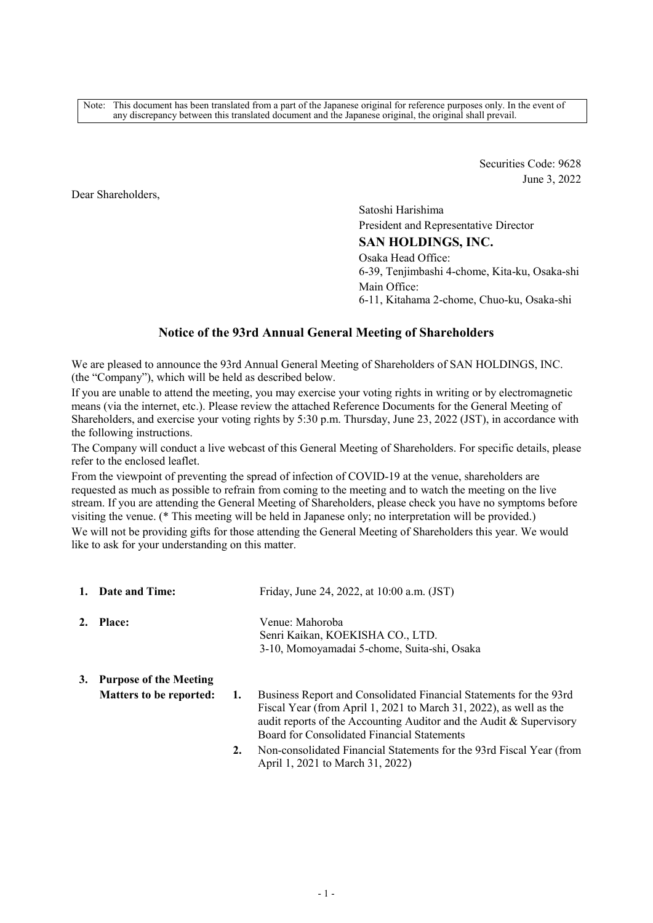Note: This document has been translated from a part of the Japanese original for reference purposes only. In the event of any discrepancy between this translated document and the Japanese original, the original shall prevail.

> Securities Code: 9628 June 3, 2022

Dear Shareholders,

Satoshi Harishima President and Representative Director **SAN HOLDINGS, INC.**  Osaka Head Office:

6-39, Tenjimbashi 4-chome, Kita-ku, Osaka-shi Main Office: 6-11, Kitahama 2-chome, Chuo-ku, Osaka-shi

# **Notice of the 93rd Annual General Meeting of Shareholders**

We are pleased to announce the 93rd Annual General Meeting of Shareholders of SAN HOLDINGS, INC. (the "Company"), which will be held as described below.

If you are unable to attend the meeting, you may exercise your voting rights in writing or by electromagnetic means (via the internet, etc.). Please review the attached Reference Documents for the General Meeting of Shareholders, and exercise your voting rights by 5:30 p.m. Thursday, June 23, 2022 (JST), in accordance with the following instructions.

The Company will conduct a live webcast of this General Meeting of Shareholders. For specific details, please refer to the enclosed leaflet.

From the viewpoint of preventing the spread of infection of COVID-19 at the venue, shareholders are requested as much as possible to refrain from coming to the meeting and to watch the meeting on the live stream. If you are attending the General Meeting of Shareholders, please check you have no symptoms before visiting the venue. (\* This meeting will be held in Japanese only; no interpretation will be provided.) We will not be providing gifts for those attending the General Meeting of Shareholders this year. We would like to ask for your understanding on this matter.

|    | 1. Date and Time:              |    | Friday, June 24, 2022, at 10:00 a.m. (JST)                                                                                                                                                                                                                     |
|----|--------------------------------|----|----------------------------------------------------------------------------------------------------------------------------------------------------------------------------------------------------------------------------------------------------------------|
| 2. | <b>Place:</b>                  |    | Venue: Mahoroba<br>Senri Kaikan, KOEKISHA CO., LTD.                                                                                                                                                                                                            |
|    |                                |    | 3-10, Momoyamadai 5-chome, Suita-shi, Osaka                                                                                                                                                                                                                    |
| 3. | <b>Purpose of the Meeting</b>  |    |                                                                                                                                                                                                                                                                |
|    | <b>Matters to be reported:</b> | 1. | Business Report and Consolidated Financial Statements for the 93rd<br>Fiscal Year (from April 1, 2021 to March 31, 2022), as well as the<br>audit reports of the Accounting Auditor and the Audit & Supervisory<br>Board for Consolidated Financial Statements |
|    |                                | 2. | Non-consolidated Financial Statements for the 93rd Fiscal Year (from<br>April 1, 2021 to March 31, 2022)                                                                                                                                                       |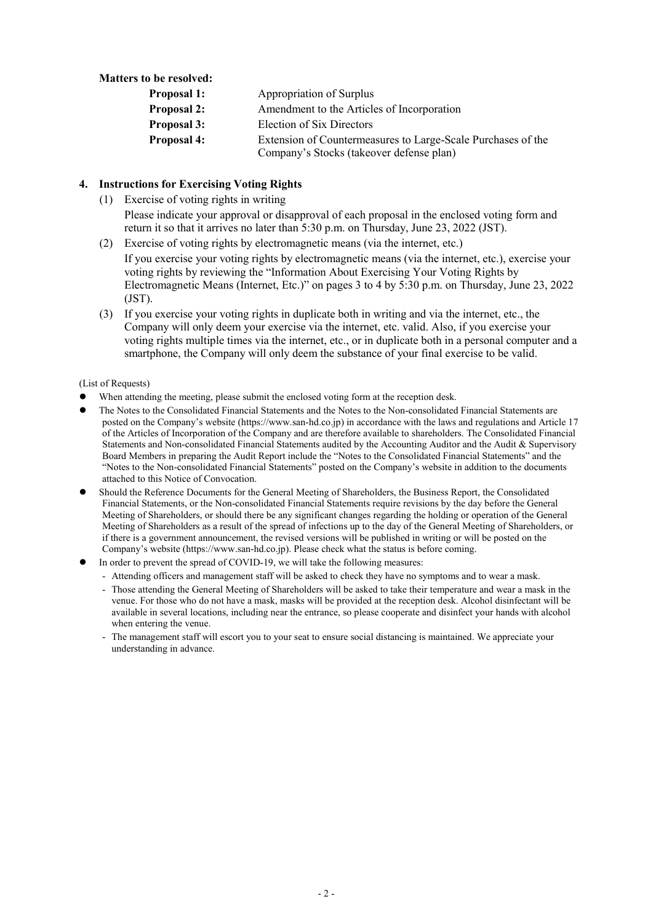# **Matters to be resolved:**

| Proposal 1:        | Appropriation of Surplus                                     |
|--------------------|--------------------------------------------------------------|
| <b>Proposal 2:</b> | Amendment to the Articles of Incorporation                   |
| <b>Proposal 3:</b> | Election of Six Directors                                    |
| Proposal 4:        | Extension of Countermeasures to Large-Scale Purchases of the |
|                    | Company's Stocks (takeover defense plan)                     |

# **4. Instructions for Exercising Voting Rights**

(1) Exercise of voting rights in writing

Please indicate your approval or disapproval of each proposal in the enclosed voting form and return it so that it arrives no later than 5:30 p.m. on Thursday, June 23, 2022 (JST).

- (2) Exercise of voting rights by electromagnetic means (via the internet, etc.) If you exercise your voting rights by electromagnetic means (via the internet, etc.), exercise your voting rights by reviewing the "Information About Exercising Your Voting Rights by Electromagnetic Means (Internet, Etc.)" on pages 3 to 4 by 5:30 p.m. on Thursday, June 23, 2022 (JST).
- (3) If you exercise your voting rights in duplicate both in writing and via the internet, etc., the Company will only deem your exercise via the internet, etc. valid. Also, if you exercise your voting rights multiple times via the internet, etc., or in duplicate both in a personal computer and a smartphone, the Company will only deem the substance of your final exercise to be valid.

#### (List of Requests)

- When attending the meeting, please submit the enclosed voting form at the reception desk.
- The Notes to the Consolidated Financial Statements and the Notes to the Non-consolidated Financial Statements are posted on the Company's website (https://www.san-hd.co.jp) in accordance with the laws and regulations and Article 17 of the Articles of Incorporation of the Company and are therefore available to shareholders. The Consolidated Financial Statements and Non-consolidated Financial Statements audited by the Accounting Auditor and the Audit & Supervisory Board Members in preparing the Audit Report include the "Notes to the Consolidated Financial Statements" and the "Notes to the Non-consolidated Financial Statements" posted on the Company's website in addition to the documents attached to this Notice of Convocation.
- Should the Reference Documents for the General Meeting of Shareholders, the Business Report, the Consolidated Financial Statements, or the Non-consolidated Financial Statements require revisions by the day before the General Meeting of Shareholders, or should there be any significant changes regarding the holding or operation of the General Meeting of Shareholders as a result of the spread of infections up to the day of the General Meeting of Shareholders, or if there is a government announcement, the revised versions will be published in writing or will be posted on the Company's website (https://www.san-hd.co.jp). Please check what the status is before coming.
- In order to prevent the spread of COVID-19, we will take the following measures:
	- Attending officers and management staff will be asked to check they have no symptoms and to wear a mask.
	- Those attending the General Meeting of Shareholders will be asked to take their temperature and wear a mask in the venue. For those who do not have a mask, masks will be provided at the reception desk. Alcohol disinfectant will be available in several locations, including near the entrance, so please cooperate and disinfect your hands with alcohol when entering the venue.
	- The management staff will escort you to your seat to ensure social distancing is maintained. We appreciate your understanding in advance.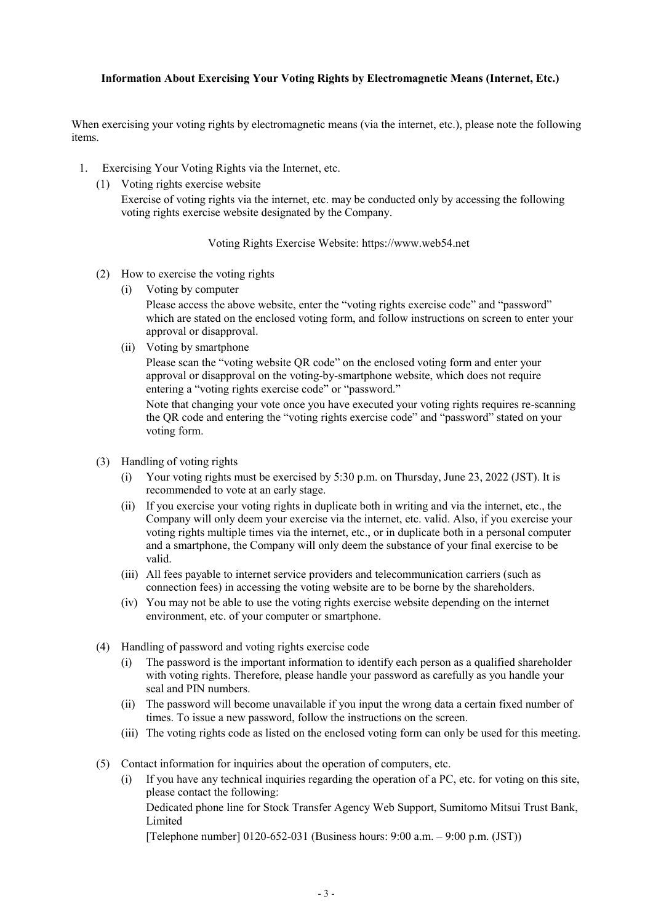# **Information About Exercising Your Voting Rights by Electromagnetic Means (Internet, Etc.)**

When exercising your voting rights by electromagnetic means (via the internet, etc.), please note the following items.

- 1. Exercising Your Voting Rights via the Internet, etc.
	- (1) Voting rights exercise website

Exercise of voting rights via the internet, etc. may be conducted only by accessing the following voting rights exercise website designated by the Company.

Voting Rights Exercise Website: https://www.web54.net

- (2) How to exercise the voting rights
	- (i) Voting by computer

Please access the above website, enter the "voting rights exercise code" and "password" which are stated on the enclosed voting form, and follow instructions on screen to enter your approval or disapproval.

(ii) Voting by smartphone

Please scan the "voting website QR code" on the enclosed voting form and enter your approval or disapproval on the voting-by-smartphone website, which does not require entering a "voting rights exercise code" or "password."

Note that changing your vote once you have executed your voting rights requires re-scanning the QR code and entering the "voting rights exercise code" and "password" stated on your voting form.

- (3) Handling of voting rights
	- (i) Your voting rights must be exercised by 5:30 p.m. on Thursday, June 23, 2022 (JST). It is recommended to vote at an early stage.
	- (ii) If you exercise your voting rights in duplicate both in writing and via the internet, etc., the Company will only deem your exercise via the internet, etc. valid. Also, if you exercise your voting rights multiple times via the internet, etc., or in duplicate both in a personal computer and a smartphone, the Company will only deem the substance of your final exercise to be valid.
	- (iii) All fees payable to internet service providers and telecommunication carriers (such as connection fees) in accessing the voting website are to be borne by the shareholders.
	- (iv) You may not be able to use the voting rights exercise website depending on the internet environment, etc. of your computer or smartphone.
- (4) Handling of password and voting rights exercise code
	- (i) The password is the important information to identify each person as a qualified shareholder with voting rights. Therefore, please handle your password as carefully as you handle your seal and PIN numbers.
	- (ii) The password will become unavailable if you input the wrong data a certain fixed number of times. To issue a new password, follow the instructions on the screen.
	- (iii) The voting rights code as listed on the enclosed voting form can only be used for this meeting.
- (5) Contact information for inquiries about the operation of computers, etc.
	- (i) If you have any technical inquiries regarding the operation of a PC, etc. for voting on this site, please contact the following: Dedicated phone line for Stock Transfer Agency Web Support, Sumitomo Mitsui Trust Bank, Limited

[Telephone number] 0120-652-031 (Business hours: 9:00 a.m. – 9:00 p.m. (JST))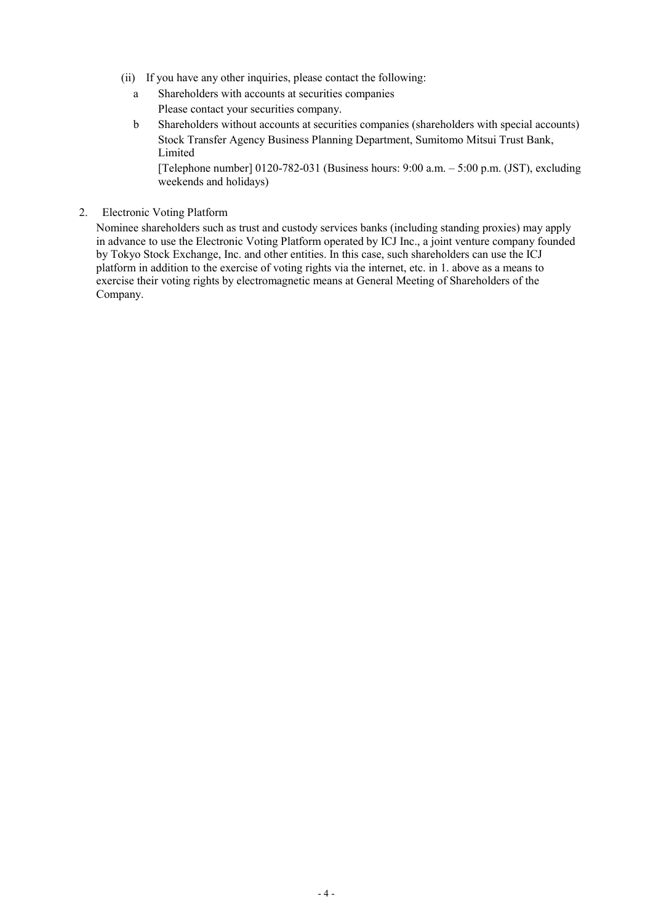- (ii) If you have any other inquiries, please contact the following:
	- a Shareholders with accounts at securities companies Please contact your securities company.
	- b Shareholders without accounts at securities companies (shareholders with special accounts) Stock Transfer Agency Business Planning Department, Sumitomo Mitsui Trust Bank, Limited

[Telephone number] 0120-782-031 (Business hours: 9:00 a.m. – 5:00 p.m. (JST), excluding weekends and holidays)

2. Electronic Voting Platform

Nominee shareholders such as trust and custody services banks (including standing proxies) may apply in advance to use the Electronic Voting Platform operated by ICJ Inc., a joint venture company founded by Tokyo Stock Exchange, Inc. and other entities. In this case, such shareholders can use the ICJ platform in addition to the exercise of voting rights via the internet, etc. in 1. above as a means to exercise their voting rights by electromagnetic means at General Meeting of Shareholders of the Company.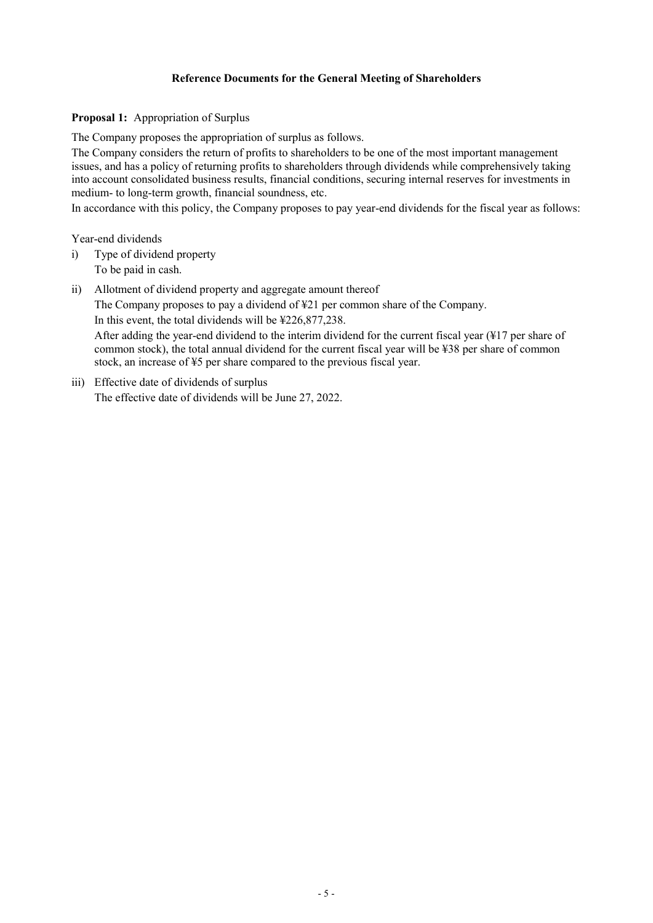## **Reference Documents for the General Meeting of Shareholders**

### **Proposal 1:** Appropriation of Surplus

The Company proposes the appropriation of surplus as follows.

The Company considers the return of profits to shareholders to be one of the most important management issues, and has a policy of returning profits to shareholders through dividends while comprehensively taking into account consolidated business results, financial conditions, securing internal reserves for investments in medium- to long-term growth, financial soundness, etc.

In accordance with this policy, the Company proposes to pay year-end dividends for the fiscal year as follows:

Year-end dividends

- i) Type of dividend property To be paid in cash.
- ii) Allotment of dividend property and aggregate amount thereof

The Company proposes to pay a dividend of ¥21 per common share of the Company. In this event, the total dividends will be ¥226,877,238.

After adding the year-end dividend to the interim dividend for the current fiscal year (¥17 per share of common stock), the total annual dividend for the current fiscal year will be ¥38 per share of common stock, an increase of ¥5 per share compared to the previous fiscal year.

iii) Effective date of dividends of surplus The effective date of dividends will be June 27, 2022.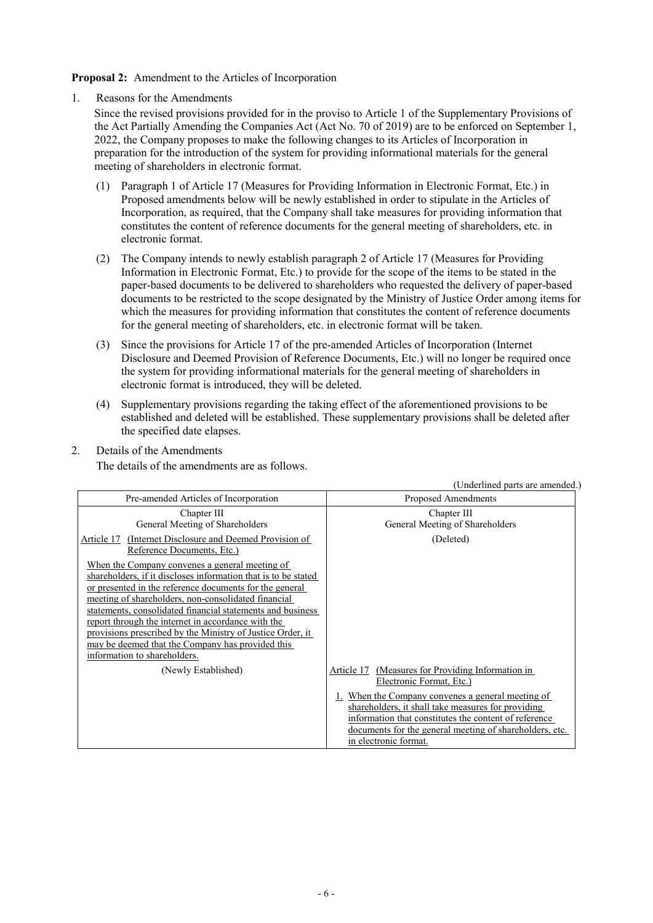**Proposal 2:** Amendment to the Articles of Incorporation

1. Reasons for the Amendments

- Since the revised provisions provided for in the proviso to Article 1 of the Supplementary Provisions of the Act Partially Amending the Companies Act (Act No. 70 of 2019) are to be enforced on September 1, 2022, the Company proposes to make the following changes to its Articles of Incorporation in preparation for the introduction of the system for providing informational materials for the general meeting of shareholders in electronic format.
	- (1) Paragraph 1 of Article 17 (Measures for Providing Information in Electronic Format, Etc.) in Proposed amendments below will be newly established in order to stipulate in the Articles of Incorporation, as required, that the Company shall take measures for providing information that constitutes the content of reference documents for the general meeting of shareholders, etc. in electronic format.
	- (2) The Company intends to newly establish paragraph 2 of Article 17 (Measures for Providing Information in Electronic Format, Etc.) to provide for the scope of the items to be stated in the paper-based documents to be delivered to shareholders who requested the delivery of paper-based documents to be restricted to the scope designated by the Ministry of Justice Order among items for which the measures for providing information that constitutes the content of reference documents for the general meeting of shareholders, etc. in electronic format will be taken.
	- (3) Since the provisions for Article 17 of the pre-amended Articles of Incorporation (Internet Disclosure and Deemed Provision of Reference Documents, Etc.) will no longer be required once the system for providing informational materials for the general meeting of shareholders in electronic format is introduced, they will be deleted.
	- (4) Supplementary provisions regarding the taking effect of the aforementioned provisions to be established and deleted will be established. These supplementary provisions shall be deleted after the specified date elapses.
- 2. Details of the Amendments

The details of the amendments are as follows.

| Pre-amended Articles of Incorporation                                                                                                                                                                                                                                                                                                                                                                                                                                                                    | Proposed Amendments                                                                                                                                                                                                                                                                                                                      |
|----------------------------------------------------------------------------------------------------------------------------------------------------------------------------------------------------------------------------------------------------------------------------------------------------------------------------------------------------------------------------------------------------------------------------------------------------------------------------------------------------------|------------------------------------------------------------------------------------------------------------------------------------------------------------------------------------------------------------------------------------------------------------------------------------------------------------------------------------------|
| Chapter III<br>General Meeting of Shareholders                                                                                                                                                                                                                                                                                                                                                                                                                                                           | Chapter III<br>General Meeting of Shareholders                                                                                                                                                                                                                                                                                           |
| (Internet Disclosure and Deemed Provision of<br>Article 17<br>Reference Documents, Etc.)                                                                                                                                                                                                                                                                                                                                                                                                                 | (Deleted)                                                                                                                                                                                                                                                                                                                                |
| When the Company convenes a general meeting of<br>shareholders, if it discloses information that is to be stated<br>or presented in the reference documents for the general<br>meeting of shareholders, non-consolidated financial<br>statements, consolidated financial statements and business<br>report through the internet in accordance with the<br>provisions prescribed by the Ministry of Justice Order, it<br>may be deemed that the Company has provided this<br>information to shareholders. |                                                                                                                                                                                                                                                                                                                                          |
| (Newly Established)                                                                                                                                                                                                                                                                                                                                                                                                                                                                                      | (Measures for Providing Information in<br>Article 17<br>Electronic Format, Etc.)<br>1. When the Company convenes a general meeting of<br>shareholders, it shall take measures for providing<br>information that constitutes the content of reference<br>documents for the general meeting of shareholders, etc.<br>in electronic format. |

(Underlined parts are amended.)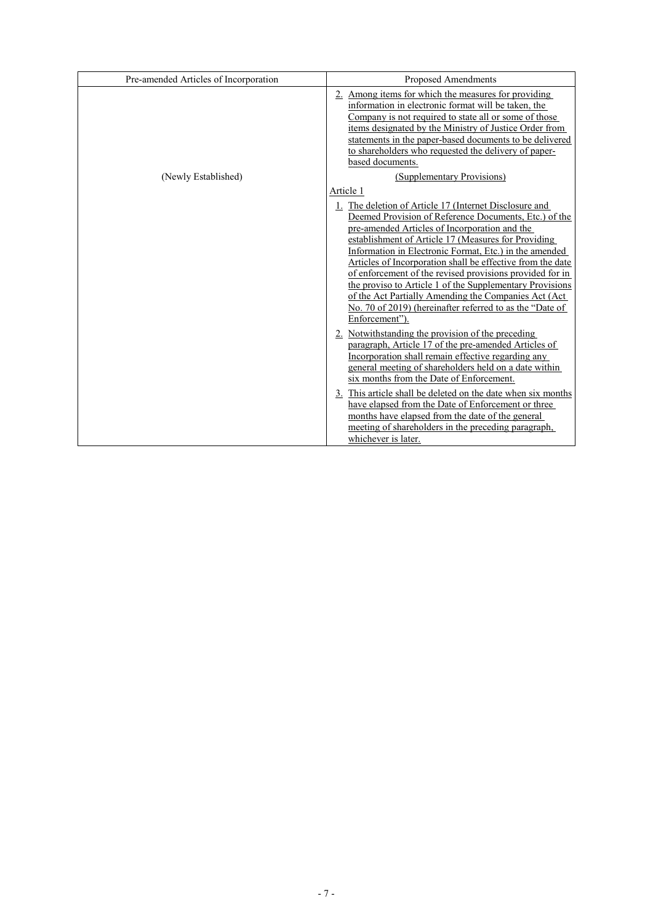| Pre-amended Articles of Incorporation | Proposed Amendments                                                                                                                                                                                                                                                                                                                                                                                                                                                                                                                                                                                                                                                                                                                                                                                                                                                                                                                                                                                                                                                                                                                                        |
|---------------------------------------|------------------------------------------------------------------------------------------------------------------------------------------------------------------------------------------------------------------------------------------------------------------------------------------------------------------------------------------------------------------------------------------------------------------------------------------------------------------------------------------------------------------------------------------------------------------------------------------------------------------------------------------------------------------------------------------------------------------------------------------------------------------------------------------------------------------------------------------------------------------------------------------------------------------------------------------------------------------------------------------------------------------------------------------------------------------------------------------------------------------------------------------------------------|
|                                       | 2. Among items for which the measures for providing<br>information in electronic format will be taken, the<br>Company is not required to state all or some of those<br>items designated by the Ministry of Justice Order from<br>statements in the paper-based documents to be delivered<br>to shareholders who requested the delivery of paper-<br>based documents.                                                                                                                                                                                                                                                                                                                                                                                                                                                                                                                                                                                                                                                                                                                                                                                       |
| (Newly Established)                   | (Supplementary Provisions)                                                                                                                                                                                                                                                                                                                                                                                                                                                                                                                                                                                                                                                                                                                                                                                                                                                                                                                                                                                                                                                                                                                                 |
|                                       | Article 1<br>1. The deletion of Article 17 (Internet Disclosure and<br>Deemed Provision of Reference Documents, Etc.) of the<br>pre-amended Articles of Incorporation and the<br>establishment of Article 17 (Measures for Providing<br>Information in Electronic Format, Etc.) in the amended<br>Articles of Incorporation shall be effective from the date<br>of enforcement of the revised provisions provided for in<br>the proviso to Article 1 of the Supplementary Provisions<br>of the Act Partially Amending the Companies Act (Act<br>No. 70 of 2019) (hereinafter referred to as the "Date of<br>Enforcement").<br>2. Notwithstanding the provision of the preceding<br>paragraph, Article 17 of the pre-amended Articles of<br>Incorporation shall remain effective regarding any<br>general meeting of shareholders held on a date within<br>six months from the Date of Enforcement.<br>3. This article shall be deleted on the date when six months<br>have elapsed from the Date of Enforcement or three<br>months have elapsed from the date of the general<br>meeting of shareholders in the preceding paragraph,<br>whichever is later. |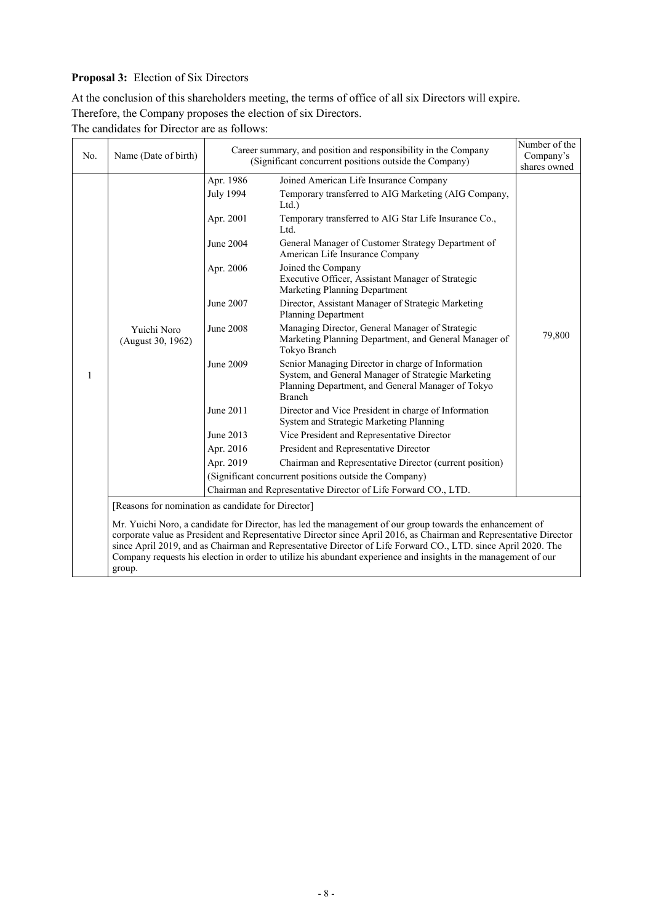# **Proposal 3:** Election of Six Directors

At the conclusion of this shareholders meeting, the terms of office of all six Directors will expire. Therefore, the Company proposes the election of six Directors.

The candidates for Director are as follows:

| No. | Name (Date of birth)                               | Career summary, and position and responsibility in the Company<br>(Significant concurrent positions outside the Company) |                                                                                                                                                                                                                                                                                                                                                                                                                                                                     | Number of the<br>Company's |
|-----|----------------------------------------------------|--------------------------------------------------------------------------------------------------------------------------|---------------------------------------------------------------------------------------------------------------------------------------------------------------------------------------------------------------------------------------------------------------------------------------------------------------------------------------------------------------------------------------------------------------------------------------------------------------------|----------------------------|
|     |                                                    |                                                                                                                          |                                                                                                                                                                                                                                                                                                                                                                                                                                                                     | shares owned               |
|     |                                                    | Apr. 1986                                                                                                                | Joined American Life Insurance Company                                                                                                                                                                                                                                                                                                                                                                                                                              |                            |
|     |                                                    | <b>July 1994</b>                                                                                                         | Temporary transferred to AIG Marketing (AIG Company,<br>$Ltd.$ )                                                                                                                                                                                                                                                                                                                                                                                                    |                            |
|     |                                                    | Apr. 2001                                                                                                                | Temporary transferred to AIG Star Life Insurance Co.,<br>Ltd.                                                                                                                                                                                                                                                                                                                                                                                                       |                            |
|     |                                                    | June 2004                                                                                                                | General Manager of Customer Strategy Department of<br>American Life Insurance Company                                                                                                                                                                                                                                                                                                                                                                               |                            |
|     |                                                    | Apr. 2006                                                                                                                | Joined the Company<br>Executive Officer, Assistant Manager of Strategic<br>Marketing Planning Department                                                                                                                                                                                                                                                                                                                                                            |                            |
|     |                                                    | June 2007                                                                                                                | Director, Assistant Manager of Strategic Marketing<br>Planning Department                                                                                                                                                                                                                                                                                                                                                                                           |                            |
|     | Yuichi Noro<br>(August 30, 1962)                   | <b>June 2008</b>                                                                                                         | Managing Director, General Manager of Strategic<br>Marketing Planning Department, and General Manager of<br>Tokyo Branch                                                                                                                                                                                                                                                                                                                                            | 79,800                     |
| 1   |                                                    | June 2009                                                                                                                | Senior Managing Director in charge of Information<br>System, and General Manager of Strategic Marketing<br>Planning Department, and General Manager of Tokyo<br><b>Branch</b>                                                                                                                                                                                                                                                                                       |                            |
|     |                                                    | June 2011                                                                                                                | Director and Vice President in charge of Information<br>System and Strategic Marketing Planning                                                                                                                                                                                                                                                                                                                                                                     |                            |
|     |                                                    | June 2013                                                                                                                | Vice President and Representative Director                                                                                                                                                                                                                                                                                                                                                                                                                          |                            |
|     |                                                    | Apr. 2016                                                                                                                | President and Representative Director                                                                                                                                                                                                                                                                                                                                                                                                                               |                            |
|     |                                                    | Apr. 2019                                                                                                                | Chairman and Representative Director (current position)                                                                                                                                                                                                                                                                                                                                                                                                             |                            |
|     |                                                    | (Significant concurrent positions outside the Company)                                                                   |                                                                                                                                                                                                                                                                                                                                                                                                                                                                     |                            |
|     |                                                    |                                                                                                                          | Chairman and Representative Director of Life Forward CO., LTD.                                                                                                                                                                                                                                                                                                                                                                                                      |                            |
|     | [Reasons for nomination as candidate for Director] |                                                                                                                          |                                                                                                                                                                                                                                                                                                                                                                                                                                                                     |                            |
|     | group.                                             |                                                                                                                          | Mr. Yuichi Noro, a candidate for Director, has led the management of our group towards the enhancement of<br>corporate value as President and Representative Director since April 2016, as Chairman and Representative Director<br>since April 2019, and as Chairman and Representative Director of Life Forward CO., LTD. since April 2020. The<br>Company requests his election in order to utilize his abundant experience and insights in the management of our |                            |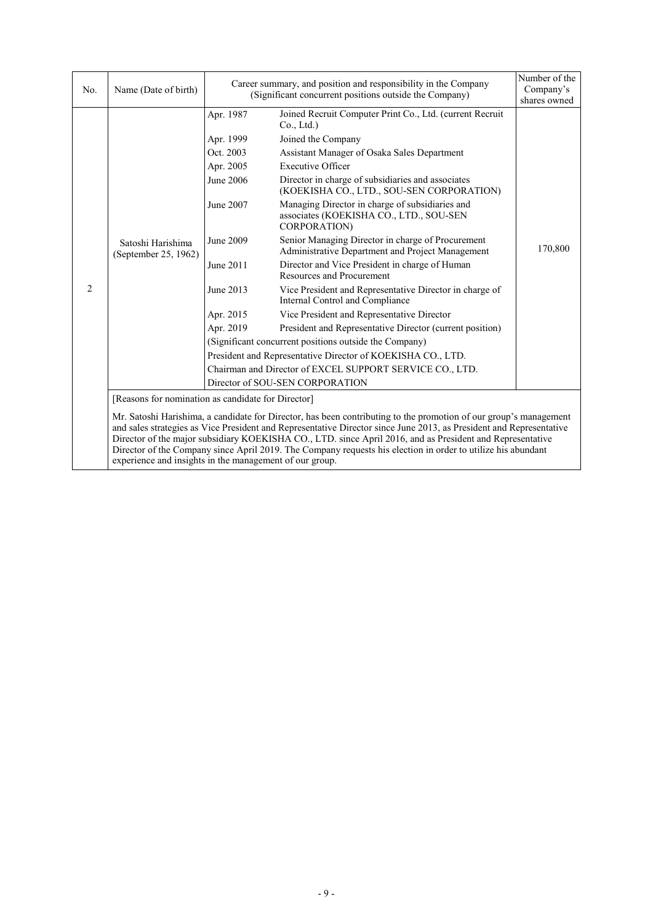| No.            | Name (Date of birth)                                                                                                                                                                                                                                                                                                                                                                                                                                                                                                             |                                                                                                                                             | Career summary, and position and responsibility in the Company<br>(Significant concurrent positions outside the Company)                                                                                                                                                                                                                                                                                                                                                                                                                                                                                                                                                                                                                                                                                                                                                                                                                                                                                               | Number of the<br>Company's<br>shares owned |  |
|----------------|----------------------------------------------------------------------------------------------------------------------------------------------------------------------------------------------------------------------------------------------------------------------------------------------------------------------------------------------------------------------------------------------------------------------------------------------------------------------------------------------------------------------------------|---------------------------------------------------------------------------------------------------------------------------------------------|------------------------------------------------------------------------------------------------------------------------------------------------------------------------------------------------------------------------------------------------------------------------------------------------------------------------------------------------------------------------------------------------------------------------------------------------------------------------------------------------------------------------------------------------------------------------------------------------------------------------------------------------------------------------------------------------------------------------------------------------------------------------------------------------------------------------------------------------------------------------------------------------------------------------------------------------------------------------------------------------------------------------|--------------------------------------------|--|
| $\overline{2}$ | Satoshi Harishima<br>(September 25, 1962)                                                                                                                                                                                                                                                                                                                                                                                                                                                                                        | Apr. 1987<br>Apr. 1999<br>Oct. 2003<br>Apr. 2005<br>June 2006<br>June 2007<br>June 2009<br>June 2011<br>June 2013<br>Apr. 2015<br>Apr. 2019 | Joined Recruit Computer Print Co., Ltd. (current Recruit<br>Co., Ltd.)<br>Joined the Company<br>Assistant Manager of Osaka Sales Department<br><b>Executive Officer</b><br>Director in charge of subsidiaries and associates<br>(KOEKISHA CO., LTD., SOU-SEN CORPORATION)<br>Managing Director in charge of subsidiaries and<br>associates (KOEKISHA CO., LTD., SOU-SEN<br>CORPORATION)<br>Senior Managing Director in charge of Procurement<br>Administrative Department and Project Management<br>Director and Vice President in charge of Human<br><b>Resources and Procurement</b><br>Vice President and Representative Director in charge of<br>Internal Control and Compliance<br>Vice President and Representative Director<br>President and Representative Director (current position)<br>(Significant concurrent positions outside the Company)<br>President and Representative Director of KOEKISHA CO., LTD.<br>Chairman and Director of EXCEL SUPPORT SERVICE CO., LTD.<br>Director of SOU-SEN CORPORATION | 170,800                                    |  |
|                | [Reasons for nomination as candidate for Director]                                                                                                                                                                                                                                                                                                                                                                                                                                                                               |                                                                                                                                             |                                                                                                                                                                                                                                                                                                                                                                                                                                                                                                                                                                                                                                                                                                                                                                                                                                                                                                                                                                                                                        |                                            |  |
|                | Mr. Satoshi Harishima, a candidate for Director, has been contributing to the promotion of our group's management<br>and sales strategies as Vice President and Representative Director since June 2013, as President and Representative<br>Director of the major subsidiary KOEKISHA CO., LTD. since April 2016, and as President and Representative<br>Director of the Company since April 2019. The Company requests his election in order to utilize his abundant<br>experience and insights in the management of our group. |                                                                                                                                             |                                                                                                                                                                                                                                                                                                                                                                                                                                                                                                                                                                                                                                                                                                                                                                                                                                                                                                                                                                                                                        |                                            |  |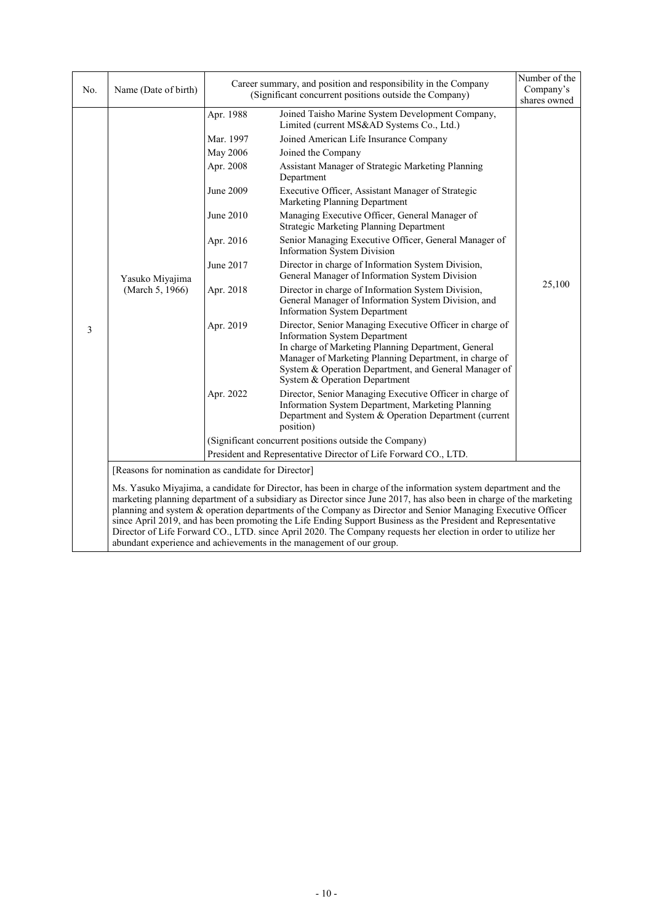| No. | Name (Date of birth)                                                                                                                                                                                                                                                                                                                                                                                                                                                                                                                                                                     |                                                                 | Career summary, and position and responsibility in the Company<br>(Significant concurrent positions outside the Company)                                                                                                                                                                                    | Number of the<br>Company's<br>shares owned |  |
|-----|------------------------------------------------------------------------------------------------------------------------------------------------------------------------------------------------------------------------------------------------------------------------------------------------------------------------------------------------------------------------------------------------------------------------------------------------------------------------------------------------------------------------------------------------------------------------------------------|-----------------------------------------------------------------|-------------------------------------------------------------------------------------------------------------------------------------------------------------------------------------------------------------------------------------------------------------------------------------------------------------|--------------------------------------------|--|
|     |                                                                                                                                                                                                                                                                                                                                                                                                                                                                                                                                                                                          | Apr. 1988                                                       | Joined Taisho Marine System Development Company,<br>Limited (current MS&AD Systems Co., Ltd.)                                                                                                                                                                                                               |                                            |  |
|     |                                                                                                                                                                                                                                                                                                                                                                                                                                                                                                                                                                                          | Mar. 1997                                                       | Joined American Life Insurance Company                                                                                                                                                                                                                                                                      |                                            |  |
|     |                                                                                                                                                                                                                                                                                                                                                                                                                                                                                                                                                                                          | May 2006                                                        | Joined the Company                                                                                                                                                                                                                                                                                          |                                            |  |
|     |                                                                                                                                                                                                                                                                                                                                                                                                                                                                                                                                                                                          | Apr. 2008                                                       | Assistant Manager of Strategic Marketing Planning<br>Department                                                                                                                                                                                                                                             |                                            |  |
|     |                                                                                                                                                                                                                                                                                                                                                                                                                                                                                                                                                                                          | June 2009                                                       | Executive Officer, Assistant Manager of Strategic<br>Marketing Planning Department                                                                                                                                                                                                                          |                                            |  |
|     |                                                                                                                                                                                                                                                                                                                                                                                                                                                                                                                                                                                          | June 2010                                                       | Managing Executive Officer, General Manager of<br><b>Strategic Marketing Planning Department</b>                                                                                                                                                                                                            |                                            |  |
|     | Yasuko Miyajima<br>(March 5, 1966)                                                                                                                                                                                                                                                                                                                                                                                                                                                                                                                                                       | Apr. 2016                                                       | Senior Managing Executive Officer, General Manager of<br>Information System Division                                                                                                                                                                                                                        |                                            |  |
|     |                                                                                                                                                                                                                                                                                                                                                                                                                                                                                                                                                                                          | June 2017                                                       | Director in charge of Information System Division,<br>General Manager of Information System Division                                                                                                                                                                                                        | 25,100                                     |  |
|     |                                                                                                                                                                                                                                                                                                                                                                                                                                                                                                                                                                                          | Apr. 2018                                                       | Director in charge of Information System Division,<br>General Manager of Information System Division, and<br><b>Information System Department</b>                                                                                                                                                           |                                            |  |
| 3   |                                                                                                                                                                                                                                                                                                                                                                                                                                                                                                                                                                                          | Apr. 2019                                                       | Director, Senior Managing Executive Officer in charge of<br><b>Information System Department</b><br>In charge of Marketing Planning Department, General<br>Manager of Marketing Planning Department, in charge of<br>System & Operation Department, and General Manager of<br>System & Operation Department |                                            |  |
|     |                                                                                                                                                                                                                                                                                                                                                                                                                                                                                                                                                                                          | Apr. 2022                                                       | Director, Senior Managing Executive Officer in charge of<br>Information System Department, Marketing Planning<br>Department and System & Operation Department (current<br>position)                                                                                                                         |                                            |  |
|     |                                                                                                                                                                                                                                                                                                                                                                                                                                                                                                                                                                                          | (Significant concurrent positions outside the Company)          |                                                                                                                                                                                                                                                                                                             |                                            |  |
|     |                                                                                                                                                                                                                                                                                                                                                                                                                                                                                                                                                                                          | President and Representative Director of Life Forward CO., LTD. |                                                                                                                                                                                                                                                                                                             |                                            |  |
|     | [Reasons for nomination as candidate for Director]                                                                                                                                                                                                                                                                                                                                                                                                                                                                                                                                       |                                                                 |                                                                                                                                                                                                                                                                                                             |                                            |  |
|     | Ms. Yasuko Miyajima, a candidate for Director, has been in charge of the information system department and the<br>marketing planning department of a subsidiary as Director since June 2017, has also been in charge of the marketing<br>planning and system & operation departments of the Company as Director and Senior Managing Executive Officer<br>since April 2019, and has been promoting the Life Ending Support Business as the President and Representative<br>Director of Life Forward CO., LTD. since April 2020. The Company requests her election in order to utilize her |                                                                 |                                                                                                                                                                                                                                                                                                             |                                            |  |

abundant experience and achievements in the management of our group.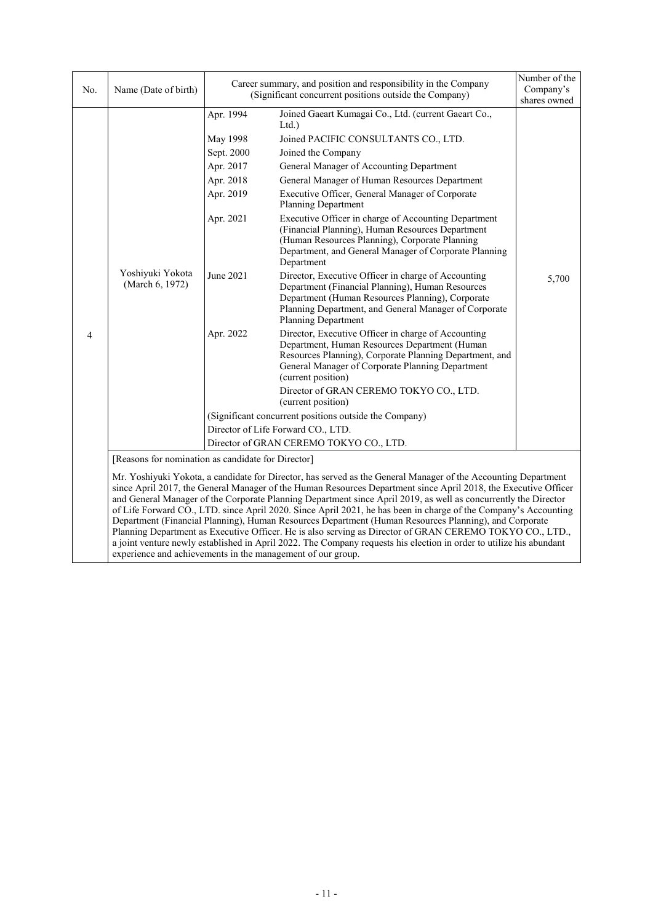| No. | Name (Date of birth)                               |                                                                                                                   | Career summary, and position and responsibility in the Company<br>(Significant concurrent positions outside the Company)                                                                                                                                                                                                                                                                                                                                                                                                                                                                                                                                                                                                                                                                                                                                                                                                                                                                                                                                                                                   | Number of the<br>Company's<br>shares owned |
|-----|----------------------------------------------------|-------------------------------------------------------------------------------------------------------------------|------------------------------------------------------------------------------------------------------------------------------------------------------------------------------------------------------------------------------------------------------------------------------------------------------------------------------------------------------------------------------------------------------------------------------------------------------------------------------------------------------------------------------------------------------------------------------------------------------------------------------------------------------------------------------------------------------------------------------------------------------------------------------------------------------------------------------------------------------------------------------------------------------------------------------------------------------------------------------------------------------------------------------------------------------------------------------------------------------------|--------------------------------------------|
| 4   | Yoshiyuki Yokota<br>(March 6, 1972)                | Apr. 1994<br>May 1998<br>Sept. 2000<br>Apr. 2017<br>Apr. 2018<br>Apr. 2019<br>Apr. 2021<br>June 2021<br>Apr. 2022 | Joined Gaeart Kumagai Co., Ltd. (current Gaeart Co.,<br>Ltd.<br>Joined PACIFIC CONSULTANTS CO., LTD.<br>Joined the Company<br>General Manager of Accounting Department<br>General Manager of Human Resources Department<br>Executive Officer, General Manager of Corporate<br>Planning Department<br>Executive Officer in charge of Accounting Department<br>(Financial Planning), Human Resources Department<br>(Human Resources Planning), Corporate Planning<br>Department, and General Manager of Corporate Planning<br>Department<br>Director, Executive Officer in charge of Accounting<br>Department (Financial Planning), Human Resources<br>Department (Human Resources Planning), Corporate<br>Planning Department, and General Manager of Corporate<br><b>Planning Department</b><br>Director, Executive Officer in charge of Accounting<br>Department, Human Resources Department (Human<br>Resources Planning), Corporate Planning Department, and<br>General Manager of Corporate Planning Department<br>(current position)<br>Director of GRAN CEREMO TOKYO CO., LTD.<br>(current position) | 5,700                                      |
|     |                                                    |                                                                                                                   | (Significant concurrent positions outside the Company)                                                                                                                                                                                                                                                                                                                                                                                                                                                                                                                                                                                                                                                                                                                                                                                                                                                                                                                                                                                                                                                     |                                            |
|     |                                                    |                                                                                                                   | Director of Life Forward CO., LTD.                                                                                                                                                                                                                                                                                                                                                                                                                                                                                                                                                                                                                                                                                                                                                                                                                                                                                                                                                                                                                                                                         |                                            |
|     |                                                    |                                                                                                                   | Director of GRAN CEREMO TOKYO CO., LTD.                                                                                                                                                                                                                                                                                                                                                                                                                                                                                                                                                                                                                                                                                                                                                                                                                                                                                                                                                                                                                                                                    |                                            |
|     | [Reasons for nomination as candidate for Director] |                                                                                                                   |                                                                                                                                                                                                                                                                                                                                                                                                                                                                                                                                                                                                                                                                                                                                                                                                                                                                                                                                                                                                                                                                                                            |                                            |
|     |                                                    |                                                                                                                   | Mr. Yoshiyuki Yokota, a candidate for Director, has served as the General Manager of the Accounting Department<br>since April 2017, the General Manager of the Human Resources Department since April 2018, the Executive Officer<br>and General Manager of the Corporate Planning Department since April 2019, as well as concurrently the Director<br>of Life Forward CO., LTD. since April 2020. Since April 2021, he has been in charge of the Company's Accounting<br>Department (Financial Planning), Human Resources Department (Human Resources Planning), and Corporate                                                                                                                                                                                                                                                                                                                                                                                                                                                                                                                           |                                            |

Planning Department as Executive Officer. He is also serving as Director of GRAN CEREMO TOKYO CO., LTD., a joint venture newly established in April 2022. The Company requests his election in order to utilize his abundant experience and achievements in the management of our group.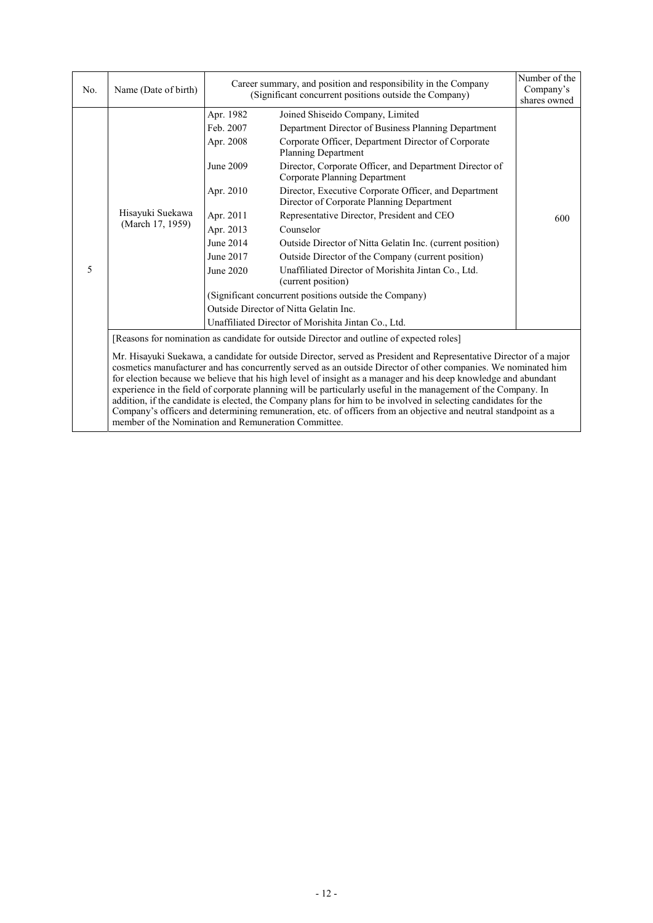| No. | Name (Date of birth)                                                                                                                                                                                                                                                                                                                                                                                                                                                                                                                                                                                                                                                                                                                                                    |           | Career summary, and position and responsibility in the Company<br>(Significant concurrent positions outside the Company) | Number of the<br>Company's<br>shares owned |  |
|-----|-------------------------------------------------------------------------------------------------------------------------------------------------------------------------------------------------------------------------------------------------------------------------------------------------------------------------------------------------------------------------------------------------------------------------------------------------------------------------------------------------------------------------------------------------------------------------------------------------------------------------------------------------------------------------------------------------------------------------------------------------------------------------|-----------|--------------------------------------------------------------------------------------------------------------------------|--------------------------------------------|--|
|     |                                                                                                                                                                                                                                                                                                                                                                                                                                                                                                                                                                                                                                                                                                                                                                         | Apr. 1982 | Joined Shiseido Company, Limited                                                                                         |                                            |  |
|     |                                                                                                                                                                                                                                                                                                                                                                                                                                                                                                                                                                                                                                                                                                                                                                         | Feb. 2007 | Department Director of Business Planning Department                                                                      |                                            |  |
|     |                                                                                                                                                                                                                                                                                                                                                                                                                                                                                                                                                                                                                                                                                                                                                                         | Apr. 2008 | Corporate Officer, Department Director of Corporate<br>Planning Department                                               |                                            |  |
|     |                                                                                                                                                                                                                                                                                                                                                                                                                                                                                                                                                                                                                                                                                                                                                                         | June 2009 | Director, Corporate Officer, and Department Director of<br>Corporate Planning Department                                 |                                            |  |
|     |                                                                                                                                                                                                                                                                                                                                                                                                                                                                                                                                                                                                                                                                                                                                                                         | Apr. 2010 | Director, Executive Corporate Officer, and Department<br>Director of Corporate Planning Department                       |                                            |  |
|     | Hisayuki Suekawa                                                                                                                                                                                                                                                                                                                                                                                                                                                                                                                                                                                                                                                                                                                                                        | Apr. 2011 | Representative Director, President and CEO                                                                               | 600                                        |  |
|     | (March 17, 1959)                                                                                                                                                                                                                                                                                                                                                                                                                                                                                                                                                                                                                                                                                                                                                        | Apr. 2013 | Counselor                                                                                                                |                                            |  |
|     |                                                                                                                                                                                                                                                                                                                                                                                                                                                                                                                                                                                                                                                                                                                                                                         | June 2014 | Outside Director of Nitta Gelatin Inc. (current position)                                                                |                                            |  |
|     |                                                                                                                                                                                                                                                                                                                                                                                                                                                                                                                                                                                                                                                                                                                                                                         | June 2017 | Outside Director of the Company (current position)                                                                       |                                            |  |
| 5   |                                                                                                                                                                                                                                                                                                                                                                                                                                                                                                                                                                                                                                                                                                                                                                         | June 2020 | Unaffiliated Director of Morishita Jintan Co., Ltd.<br>(current position)                                                |                                            |  |
|     |                                                                                                                                                                                                                                                                                                                                                                                                                                                                                                                                                                                                                                                                                                                                                                         |           | (Significant concurrent positions outside the Company)                                                                   |                                            |  |
|     |                                                                                                                                                                                                                                                                                                                                                                                                                                                                                                                                                                                                                                                                                                                                                                         |           | Outside Director of Nitta Gelatin Inc.                                                                                   |                                            |  |
|     |                                                                                                                                                                                                                                                                                                                                                                                                                                                                                                                                                                                                                                                                                                                                                                         |           | Unaffiliated Director of Morishita Jintan Co., Ltd.                                                                      |                                            |  |
|     | [Reasons for nomination as candidate for outside Director and outline of expected roles]                                                                                                                                                                                                                                                                                                                                                                                                                                                                                                                                                                                                                                                                                |           |                                                                                                                          |                                            |  |
|     | Mr. Hisayuki Suekawa, a candidate for outside Director, served as President and Representative Director of a major<br>cosmetics manufacturer and has concurrently served as an outside Director of other companies. We nominated him<br>for election because we believe that his high level of insight as a manager and his deep knowledge and abundant<br>experience in the field of corporate planning will be particularly useful in the management of the Company. In<br>addition, if the candidate is elected, the Company plans for him to be involved in selecting candidates for the<br>Company's officers and determining remuneration, etc. of officers from an objective and neutral standpoint as a<br>member of the Nomination and Remuneration Committee. |           |                                                                                                                          |                                            |  |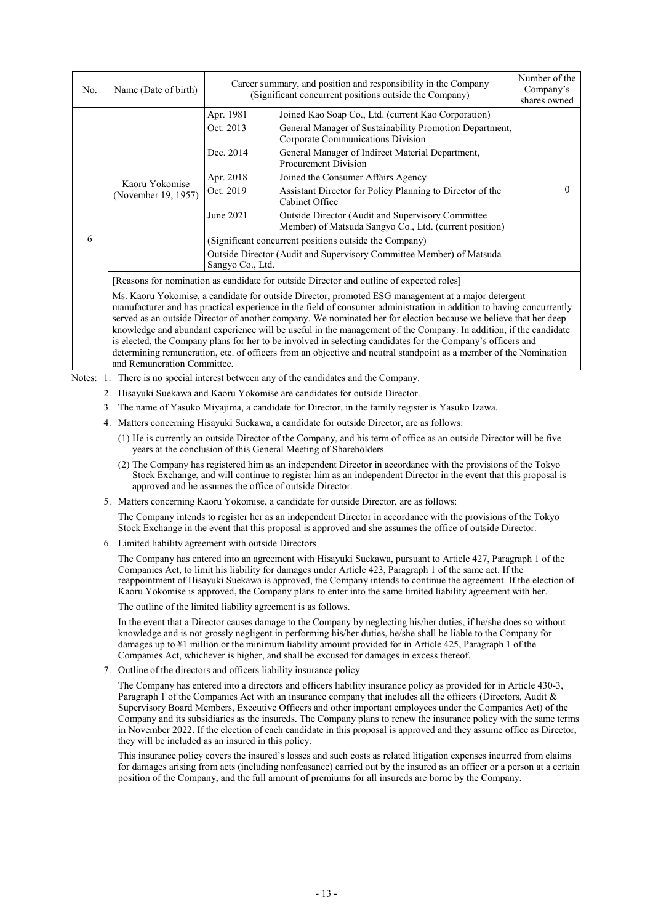| No. | Name (Date of birth)                                                                                                                                                                                                                                                                                                                                                                                                                                                                                                                                                                                                                                                                                                                                                                                                              |                                                                                                | Career summary, and position and responsibility in the Company<br>(Significant concurrent positions outside the Company)                                                                                                                                                                                                                                                                                                                                                                                                                                                                                     | Number of the<br>Company's<br>shares owned |  |
|-----|-----------------------------------------------------------------------------------------------------------------------------------------------------------------------------------------------------------------------------------------------------------------------------------------------------------------------------------------------------------------------------------------------------------------------------------------------------------------------------------------------------------------------------------------------------------------------------------------------------------------------------------------------------------------------------------------------------------------------------------------------------------------------------------------------------------------------------------|------------------------------------------------------------------------------------------------|--------------------------------------------------------------------------------------------------------------------------------------------------------------------------------------------------------------------------------------------------------------------------------------------------------------------------------------------------------------------------------------------------------------------------------------------------------------------------------------------------------------------------------------------------------------------------------------------------------------|--------------------------------------------|--|
| 6   | Kaoru Yokomise<br>(November 19, 1957)                                                                                                                                                                                                                                                                                                                                                                                                                                                                                                                                                                                                                                                                                                                                                                                             | Apr. 1981<br>Oct. 2013<br>Dec. 2014<br>Apr. 2018<br>Oct. 2019<br>June 2021<br>Sangyo Co., Ltd. | Joined Kao Soap Co., Ltd. (current Kao Corporation)<br>General Manager of Sustainability Promotion Department,<br>Corporate Communications Division<br>General Manager of Indirect Material Department,<br><b>Procurement Division</b><br>Joined the Consumer Affairs Agency<br>Assistant Director for Policy Planning to Director of the<br>Cabinet Office<br>Outside Director (Audit and Supervisory Committee<br>Member) of Matsuda Sangyo Co., Ltd. (current position)<br>(Significant concurrent positions outside the Company)<br>Outside Director (Audit and Supervisory Committee Member) of Matsuda |                                            |  |
|     | [Reasons for nomination as candidate for outside Director and outline of expected roles]<br>Ms. Kaoru Yokomise, a candidate for outside Director, promoted ESG management at a major detergent<br>manufacturer and has practical experience in the field of consumer administration in addition to having concurrently<br>served as an outside Director of another company. We nominated her for election because we believe that her deep<br>knowledge and abundant experience will be useful in the management of the Company. In addition, if the candidate<br>is elected, the Company plans for her to be involved in selecting candidates for the Company's officers and<br>determining remuneration, etc. of officers from an objective and neutral standpoint as a member of the Nomination<br>and Remuneration Committee. |                                                                                                |                                                                                                                                                                                                                                                                                                                                                                                                                                                                                                                                                                                                              |                                            |  |

Notes: 1. There is no special interest between any of the candidates and the Company.

- 2. Hisayuki Suekawa and Kaoru Yokomise are candidates for outside Director.
- 3. The name of Yasuko Miyajima, a candidate for Director, in the family register is Yasuko Izawa.
- 4. Matters concerning Hisayuki Suekawa, a candidate for outside Director, are as follows:
	- (1) He is currently an outside Director of the Company, and his term of office as an outside Director will be five years at the conclusion of this General Meeting of Shareholders.
	- (2) The Company has registered him as an independent Director in accordance with the provisions of the Tokyo Stock Exchange, and will continue to register him as an independent Director in the event that this proposal is approved and he assumes the office of outside Director.
- 5. Matters concerning Kaoru Yokomise, a candidate for outside Director, are as follows:

The Company intends to register her as an independent Director in accordance with the provisions of the Tokyo Stock Exchange in the event that this proposal is approved and she assumes the office of outside Director.

6. Limited liability agreement with outside Directors

The Company has entered into an agreement with Hisayuki Suekawa, pursuant to Article 427, Paragraph 1 of the Companies Act, to limit his liability for damages under Article 423, Paragraph 1 of the same act. If the reappointment of Hisayuki Suekawa is approved, the Company intends to continue the agreement. If the election of Kaoru Yokomise is approved, the Company plans to enter into the same limited liability agreement with her.

The outline of the limited liability agreement is as follows.

In the event that a Director causes damage to the Company by neglecting his/her duties, if he/she does so without knowledge and is not grossly negligent in performing his/her duties, he/she shall be liable to the Company for damages up to ¥1 million or the minimum liability amount provided for in Article 425, Paragraph 1 of the Companies Act, whichever is higher, and shall be excused for damages in excess thereof.

7. Outline of the directors and officers liability insurance policy

The Company has entered into a directors and officers liability insurance policy as provided for in Article 430-3, Paragraph 1 of the Companies Act with an insurance company that includes all the officers (Directors, Audit & Supervisory Board Members, Executive Officers and other important employees under the Companies Act) of the Company and its subsidiaries as the insureds. The Company plans to renew the insurance policy with the same terms in November 2022. If the election of each candidate in this proposal is approved and they assume office as Director, they will be included as an insured in this policy.

This insurance policy covers the insured's losses and such costs as related litigation expenses incurred from claims for damages arising from acts (including nonfeasance) carried out by the insured as an officer or a person at a certain position of the Company, and the full amount of premiums for all insureds are borne by the Company.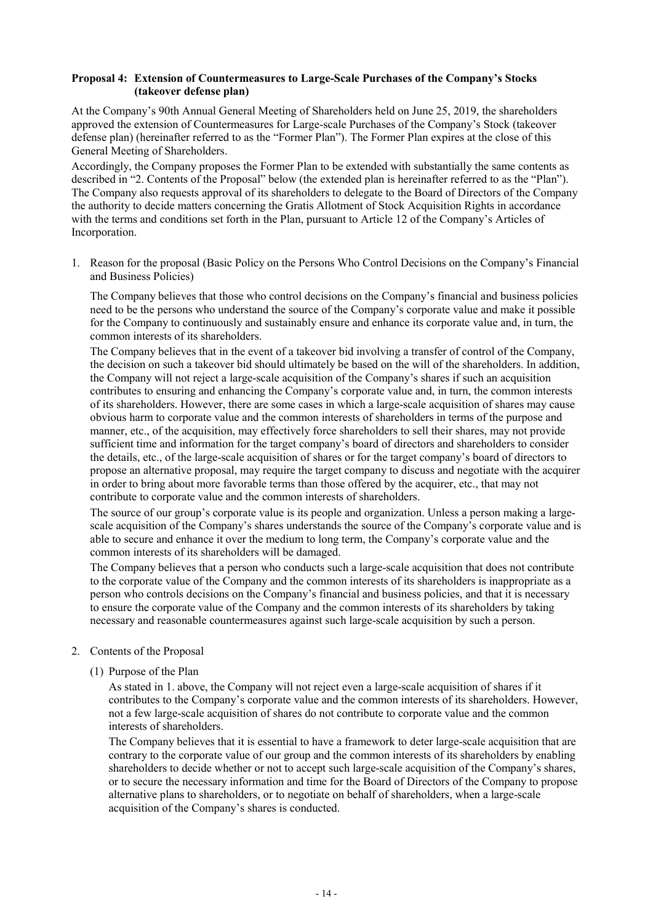### **Proposal 4: Extension of Countermeasures to Large-Scale Purchases of the Company's Stocks (takeover defense plan)**

At the Company's 90th Annual General Meeting of Shareholders held on June 25, 2019, the shareholders approved the extension of Countermeasures for Large-scale Purchases of the Company's Stock (takeover defense plan) (hereinafter referred to as the "Former Plan"). The Former Plan expires at the close of this General Meeting of Shareholders.

Accordingly, the Company proposes the Former Plan to be extended with substantially the same contents as described in "2. Contents of the Proposal" below (the extended plan is hereinafter referred to as the "Plan"). The Company also requests approval of its shareholders to delegate to the Board of Directors of the Company the authority to decide matters concerning the Gratis Allotment of Stock Acquisition Rights in accordance with the terms and conditions set forth in the Plan, pursuant to Article 12 of the Company's Articles of Incorporation.

1. Reason for the proposal (Basic Policy on the Persons Who Control Decisions on the Company's Financial and Business Policies)

The Company believes that those who control decisions on the Company's financial and business policies need to be the persons who understand the source of the Company's corporate value and make it possible for the Company to continuously and sustainably ensure and enhance its corporate value and, in turn, the common interests of its shareholders.

The Company believes that in the event of a takeover bid involving a transfer of control of the Company, the decision on such a takeover bid should ultimately be based on the will of the shareholders. In addition, the Company will not reject a large-scale acquisition of the Company's shares if such an acquisition contributes to ensuring and enhancing the Company's corporate value and, in turn, the common interests of its shareholders. However, there are some cases in which a large-scale acquisition of shares may cause obvious harm to corporate value and the common interests of shareholders in terms of the purpose and manner, etc., of the acquisition, may effectively force shareholders to sell their shares, may not provide sufficient time and information for the target company's board of directors and shareholders to consider the details, etc., of the large-scale acquisition of shares or for the target company's board of directors to propose an alternative proposal, may require the target company to discuss and negotiate with the acquirer in order to bring about more favorable terms than those offered by the acquirer, etc., that may not contribute to corporate value and the common interests of shareholders.

The source of our group's corporate value is its people and organization. Unless a person making a largescale acquisition of the Company's shares understands the source of the Company's corporate value and is able to secure and enhance it over the medium to long term, the Company's corporate value and the common interests of its shareholders will be damaged.

The Company believes that a person who conducts such a large-scale acquisition that does not contribute to the corporate value of the Company and the common interests of its shareholders is inappropriate as a person who controls decisions on the Company's financial and business policies, and that it is necessary to ensure the corporate value of the Company and the common interests of its shareholders by taking necessary and reasonable countermeasures against such large-scale acquisition by such a person.

#### 2. Contents of the Proposal

(1) Purpose of the Plan

As stated in 1. above, the Company will not reject even a large-scale acquisition of shares if it contributes to the Company's corporate value and the common interests of its shareholders. However, not a few large-scale acquisition of shares do not contribute to corporate value and the common interests of shareholders.

The Company believes that it is essential to have a framework to deter large-scale acquisition that are contrary to the corporate value of our group and the common interests of its shareholders by enabling shareholders to decide whether or not to accept such large-scale acquisition of the Company's shares, or to secure the necessary information and time for the Board of Directors of the Company to propose alternative plans to shareholders, or to negotiate on behalf of shareholders, when a large-scale acquisition of the Company's shares is conducted.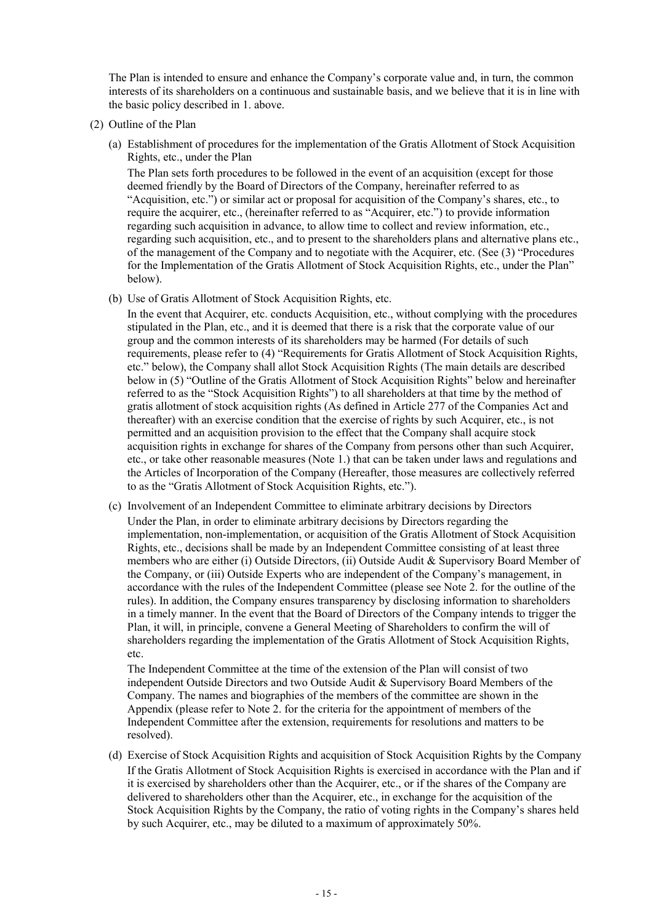The Plan is intended to ensure and enhance the Company's corporate value and, in turn, the common interests of its shareholders on a continuous and sustainable basis, and we believe that it is in line with the basic policy described in 1. above.

- (2) Outline of the Plan
	- (a) Establishment of procedures for the implementation of the Gratis Allotment of Stock Acquisition Rights, etc., under the Plan

The Plan sets forth procedures to be followed in the event of an acquisition (except for those deemed friendly by the Board of Directors of the Company, hereinafter referred to as "Acquisition, etc.") or similar act or proposal for acquisition of the Company's shares, etc., to require the acquirer, etc., (hereinafter referred to as "Acquirer, etc.") to provide information regarding such acquisition in advance, to allow time to collect and review information, etc., regarding such acquisition, etc., and to present to the shareholders plans and alternative plans etc., of the management of the Company and to negotiate with the Acquirer, etc. (See (3) "Procedures for the Implementation of the Gratis Allotment of Stock Acquisition Rights, etc., under the Plan" below).

(b) Use of Gratis Allotment of Stock Acquisition Rights, etc.

In the event that Acquirer, etc. conducts Acquisition, etc., without complying with the procedures stipulated in the Plan, etc., and it is deemed that there is a risk that the corporate value of our group and the common interests of its shareholders may be harmed (For details of such requirements, please refer to (4) "Requirements for Gratis Allotment of Stock Acquisition Rights, etc." below), the Company shall allot Stock Acquisition Rights (The main details are described below in (5) "Outline of the Gratis Allotment of Stock Acquisition Rights" below and hereinafter referred to as the "Stock Acquisition Rights") to all shareholders at that time by the method of gratis allotment of stock acquisition rights (As defined in Article 277 of the Companies Act and thereafter) with an exercise condition that the exercise of rights by such Acquirer, etc., is not permitted and an acquisition provision to the effect that the Company shall acquire stock acquisition rights in exchange for shares of the Company from persons other than such Acquirer, etc., or take other reasonable measures (Note 1.) that can be taken under laws and regulations and the Articles of Incorporation of the Company (Hereafter, those measures are collectively referred to as the "Gratis Allotment of Stock Acquisition Rights, etc.").

(c) Involvement of an Independent Committee to eliminate arbitrary decisions by Directors Under the Plan, in order to eliminate arbitrary decisions by Directors regarding the implementation, non-implementation, or acquisition of the Gratis Allotment of Stock Acquisition Rights, etc., decisions shall be made by an Independent Committee consisting of at least three members who are either (i) Outside Directors, (ii) Outside Audit & Supervisory Board Member of the Company, or (iii) Outside Experts who are independent of the Company's management, in accordance with the rules of the Independent Committee (please see Note 2. for the outline of the rules). In addition, the Company ensures transparency by disclosing information to shareholders in a timely manner. In the event that the Board of Directors of the Company intends to trigger the Plan, it will, in principle, convene a General Meeting of Shareholders to confirm the will of shareholders regarding the implementation of the Gratis Allotment of Stock Acquisition Rights, etc.

The Independent Committee at the time of the extension of the Plan will consist of two independent Outside Directors and two Outside Audit & Supervisory Board Members of the Company. The names and biographies of the members of the committee are shown in the Appendix (please refer to Note 2. for the criteria for the appointment of members of the Independent Committee after the extension, requirements for resolutions and matters to be resolved).

(d) Exercise of Stock Acquisition Rights and acquisition of Stock Acquisition Rights by the Company If the Gratis Allotment of Stock Acquisition Rights is exercised in accordance with the Plan and if it is exercised by shareholders other than the Acquirer, etc., or if the shares of the Company are delivered to shareholders other than the Acquirer, etc., in exchange for the acquisition of the Stock Acquisition Rights by the Company, the ratio of voting rights in the Company's shares held by such Acquirer, etc., may be diluted to a maximum of approximately 50%.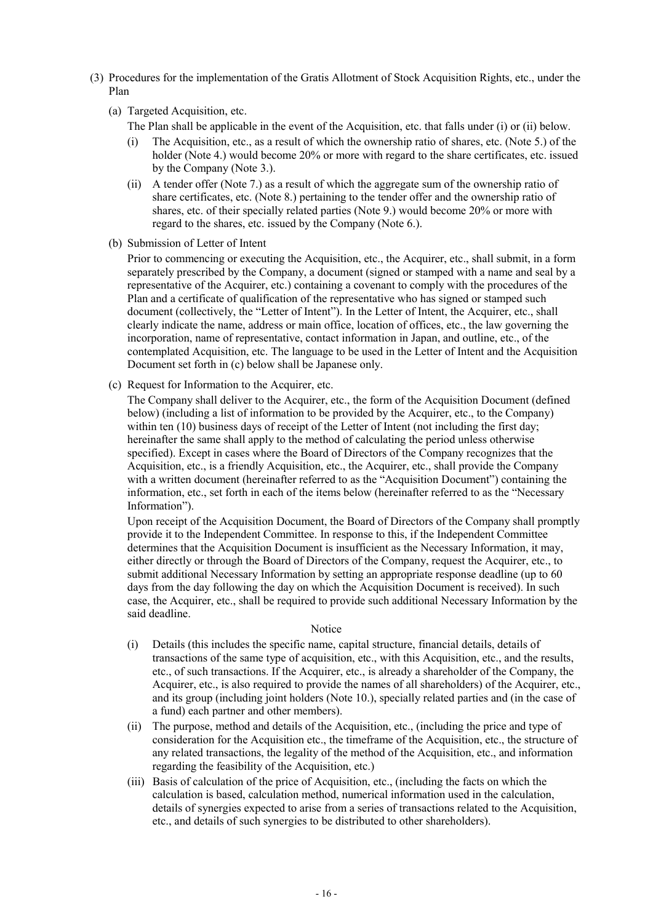- (3) Procedures for the implementation of the Gratis Allotment of Stock Acquisition Rights, etc., under the Plan
	- (a) Targeted Acquisition, etc.
		- The Plan shall be applicable in the event of the Acquisition, etc. that falls under (i) or (ii) below.
		- (i) The Acquisition, etc., as a result of which the ownership ratio of shares, etc. (Note 5.) of the holder (Note 4.) would become 20% or more with regard to the share certificates, etc. issued by the Company (Note 3.).
		- (ii) A tender offer (Note 7.) as a result of which the aggregate sum of the ownership ratio of share certificates, etc. (Note 8.) pertaining to the tender offer and the ownership ratio of shares, etc. of their specially related parties (Note 9.) would become 20% or more with regard to the shares, etc. issued by the Company (Note 6.).
	- (b) Submission of Letter of Intent

Prior to commencing or executing the Acquisition, etc., the Acquirer, etc., shall submit, in a form separately prescribed by the Company, a document (signed or stamped with a name and seal by a representative of the Acquirer, etc.) containing a covenant to comply with the procedures of the Plan and a certificate of qualification of the representative who has signed or stamped such document (collectively, the "Letter of Intent"). In the Letter of Intent, the Acquirer, etc., shall clearly indicate the name, address or main office, location of offices, etc., the law governing the incorporation, name of representative, contact information in Japan, and outline, etc., of the contemplated Acquisition, etc. The language to be used in the Letter of Intent and the Acquisition Document set forth in (c) below shall be Japanese only.

(c) Request for Information to the Acquirer, etc.

The Company shall deliver to the Acquirer, etc., the form of the Acquisition Document (defined below) (including a list of information to be provided by the Acquirer, etc., to the Company) within ten (10) business days of receipt of the Letter of Intent (not including the first day; hereinafter the same shall apply to the method of calculating the period unless otherwise specified). Except in cases where the Board of Directors of the Company recognizes that the Acquisition, etc., is a friendly Acquisition, etc., the Acquirer, etc., shall provide the Company with a written document (hereinafter referred to as the "Acquisition Document") containing the information, etc., set forth in each of the items below (hereinafter referred to as the "Necessary Information").

Upon receipt of the Acquisition Document, the Board of Directors of the Company shall promptly provide it to the Independent Committee. In response to this, if the Independent Committee determines that the Acquisition Document is insufficient as the Necessary Information, it may, either directly or through the Board of Directors of the Company, request the Acquirer, etc., to submit additional Necessary Information by setting an appropriate response deadline (up to 60 days from the day following the day on which the Acquisition Document is received). In such case, the Acquirer, etc., shall be required to provide such additional Necessary Information by the said deadline.

#### Notice

- (i) Details (this includes the specific name, capital structure, financial details, details of transactions of the same type of acquisition, etc., with this Acquisition, etc., and the results, etc., of such transactions. If the Acquirer, etc., is already a shareholder of the Company, the Acquirer, etc., is also required to provide the names of all shareholders) of the Acquirer, etc., and its group (including joint holders (Note 10.), specially related parties and (in the case of a fund) each partner and other members).
- (ii) The purpose, method and details of the Acquisition, etc., (including the price and type of consideration for the Acquisition etc., the timeframe of the Acquisition, etc., the structure of any related transactions, the legality of the method of the Acquisition, etc., and information regarding the feasibility of the Acquisition, etc.)
- (iii) Basis of calculation of the price of Acquisition, etc., (including the facts on which the calculation is based, calculation method, numerical information used in the calculation, details of synergies expected to arise from a series of transactions related to the Acquisition, etc., and details of such synergies to be distributed to other shareholders).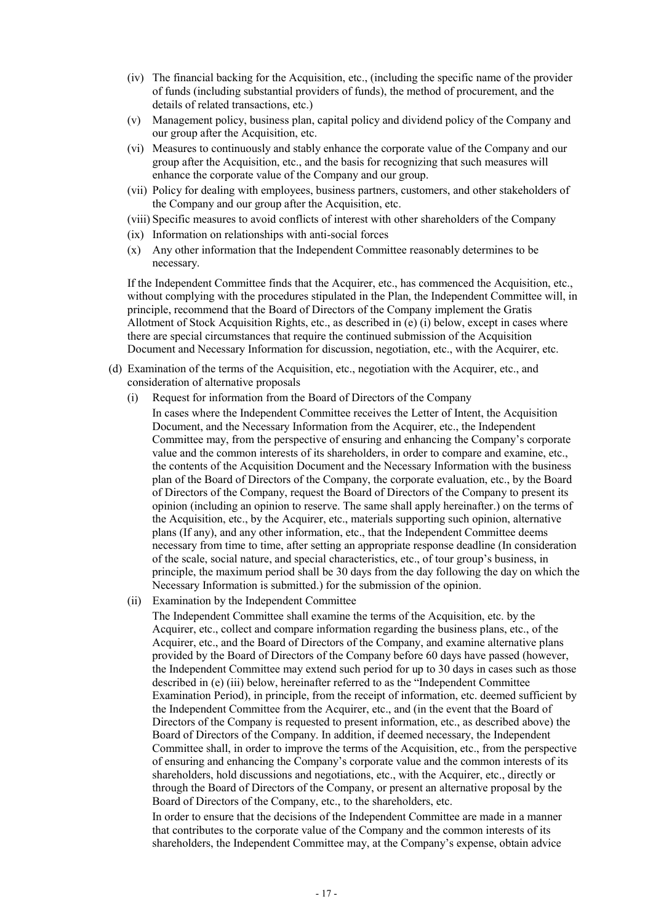- (iv) The financial backing for the Acquisition, etc., (including the specific name of the provider of funds (including substantial providers of funds), the method of procurement, and the details of related transactions, etc.)
- (v) Management policy, business plan, capital policy and dividend policy of the Company and our group after the Acquisition, etc.
- (vi) Measures to continuously and stably enhance the corporate value of the Company and our group after the Acquisition, etc., and the basis for recognizing that such measures will enhance the corporate value of the Company and our group.
- (vii) Policy for dealing with employees, business partners, customers, and other stakeholders of the Company and our group after the Acquisition, etc.
- (viii) Specific measures to avoid conflicts of interest with other shareholders of the Company
- (ix) Information on relationships with anti-social forces
- (x) Any other information that the Independent Committee reasonably determines to be necessary.

If the Independent Committee finds that the Acquirer, etc., has commenced the Acquisition, etc., without complying with the procedures stipulated in the Plan, the Independent Committee will, in principle, recommend that the Board of Directors of the Company implement the Gratis Allotment of Stock Acquisition Rights, etc., as described in (e) (i) below, except in cases where there are special circumstances that require the continued submission of the Acquisition Document and Necessary Information for discussion, negotiation, etc., with the Acquirer, etc.

- (d) Examination of the terms of the Acquisition, etc., negotiation with the Acquirer, etc., and consideration of alternative proposals
	- (i) Request for information from the Board of Directors of the Company In cases where the Independent Committee receives the Letter of Intent, the Acquisition Document, and the Necessary Information from the Acquirer, etc., the Independent Committee may, from the perspective of ensuring and enhancing the Company's corporate value and the common interests of its shareholders, in order to compare and examine, etc., the contents of the Acquisition Document and the Necessary Information with the business plan of the Board of Directors of the Company, the corporate evaluation, etc., by the Board of Directors of the Company, request the Board of Directors of the Company to present its opinion (including an opinion to reserve. The same shall apply hereinafter.) on the terms of the Acquisition, etc., by the Acquirer, etc., materials supporting such opinion, alternative plans (If any), and any other information, etc., that the Independent Committee deems necessary from time to time, after setting an appropriate response deadline (In consideration of the scale, social nature, and special characteristics, etc., of tour group's business, in principle, the maximum period shall be 30 days from the day following the day on which the Necessary Information is submitted.) for the submission of the opinion.
	- (ii) Examination by the Independent Committee

The Independent Committee shall examine the terms of the Acquisition, etc. by the Acquirer, etc., collect and compare information regarding the business plans, etc., of the Acquirer, etc., and the Board of Directors of the Company, and examine alternative plans provided by the Board of Directors of the Company before 60 days have passed (however, the Independent Committee may extend such period for up to 30 days in cases such as those described in (e) (iii) below, hereinafter referred to as the "Independent Committee Examination Period), in principle, from the receipt of information, etc. deemed sufficient by the Independent Committee from the Acquirer, etc., and (in the event that the Board of Directors of the Company is requested to present information, etc., as described above) the Board of Directors of the Company. In addition, if deemed necessary, the Independent Committee shall, in order to improve the terms of the Acquisition, etc., from the perspective of ensuring and enhancing the Company's corporate value and the common interests of its shareholders, hold discussions and negotiations, etc., with the Acquirer, etc., directly or through the Board of Directors of the Company, or present an alternative proposal by the Board of Directors of the Company, etc., to the shareholders, etc.

In order to ensure that the decisions of the Independent Committee are made in a manner that contributes to the corporate value of the Company and the common interests of its shareholders, the Independent Committee may, at the Company's expense, obtain advice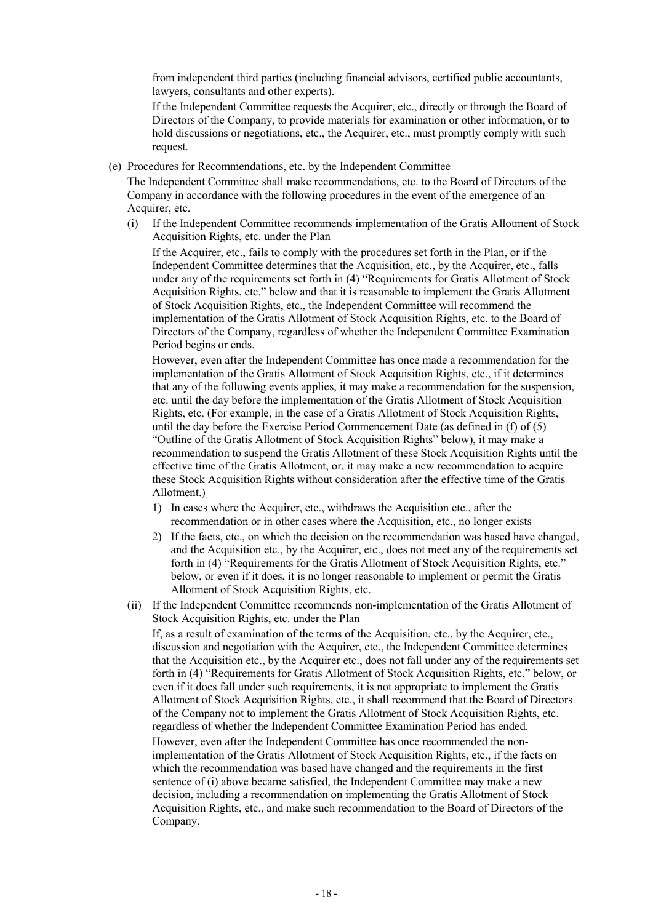from independent third parties (including financial advisors, certified public accountants, lawyers, consultants and other experts).

If the Independent Committee requests the Acquirer, etc., directly or through the Board of Directors of the Company, to provide materials for examination or other information, or to hold discussions or negotiations, etc., the Acquirer, etc., must promptly comply with such request.

(e) Procedures for Recommendations, etc. by the Independent Committee

The Independent Committee shall make recommendations, etc. to the Board of Directors of the Company in accordance with the following procedures in the event of the emergence of an Acquirer, etc.

(i) If the Independent Committee recommends implementation of the Gratis Allotment of Stock Acquisition Rights, etc. under the Plan

If the Acquirer, etc., fails to comply with the procedures set forth in the Plan, or if the Independent Committee determines that the Acquisition, etc., by the Acquirer, etc., falls under any of the requirements set forth in (4) "Requirements for Gratis Allotment of Stock Acquisition Rights, etc." below and that it is reasonable to implement the Gratis Allotment of Stock Acquisition Rights, etc., the Independent Committee will recommend the implementation of the Gratis Allotment of Stock Acquisition Rights, etc. to the Board of Directors of the Company, regardless of whether the Independent Committee Examination Period begins or ends.

However, even after the Independent Committee has once made a recommendation for the implementation of the Gratis Allotment of Stock Acquisition Rights, etc., if it determines that any of the following events applies, it may make a recommendation for the suspension, etc. until the day before the implementation of the Gratis Allotment of Stock Acquisition Rights, etc. (For example, in the case of a Gratis Allotment of Stock Acquisition Rights, until the day before the Exercise Period Commencement Date (as defined in (f) of (5) "Outline of the Gratis Allotment of Stock Acquisition Rights" below), it may make a recommendation to suspend the Gratis Allotment of these Stock Acquisition Rights until the effective time of the Gratis Allotment, or, it may make a new recommendation to acquire these Stock Acquisition Rights without consideration after the effective time of the Gratis Allotment.)

- 1) In cases where the Acquirer, etc., withdraws the Acquisition etc., after the recommendation or in other cases where the Acquisition, etc., no longer exists
- 2) If the facts, etc., on which the decision on the recommendation was based have changed, and the Acquisition etc., by the Acquirer, etc., does not meet any of the requirements set forth in (4) "Requirements for the Gratis Allotment of Stock Acquisition Rights, etc." below, or even if it does, it is no longer reasonable to implement or permit the Gratis Allotment of Stock Acquisition Rights, etc.
- (ii) If the Independent Committee recommends non-implementation of the Gratis Allotment of Stock Acquisition Rights, etc. under the Plan

If, as a result of examination of the terms of the Acquisition, etc., by the Acquirer, etc., discussion and negotiation with the Acquirer, etc., the Independent Committee determines that the Acquisition etc., by the Acquirer etc., does not fall under any of the requirements set forth in (4) "Requirements for Gratis Allotment of Stock Acquisition Rights, etc." below, or even if it does fall under such requirements, it is not appropriate to implement the Gratis Allotment of Stock Acquisition Rights, etc., it shall recommend that the Board of Directors of the Company not to implement the Gratis Allotment of Stock Acquisition Rights, etc. regardless of whether the Independent Committee Examination Period has ended.

However, even after the Independent Committee has once recommended the nonimplementation of the Gratis Allotment of Stock Acquisition Rights, etc., if the facts on which the recommendation was based have changed and the requirements in the first sentence of (i) above became satisfied, the Independent Committee may make a new decision, including a recommendation on implementing the Gratis Allotment of Stock Acquisition Rights, etc., and make such recommendation to the Board of Directors of the Company.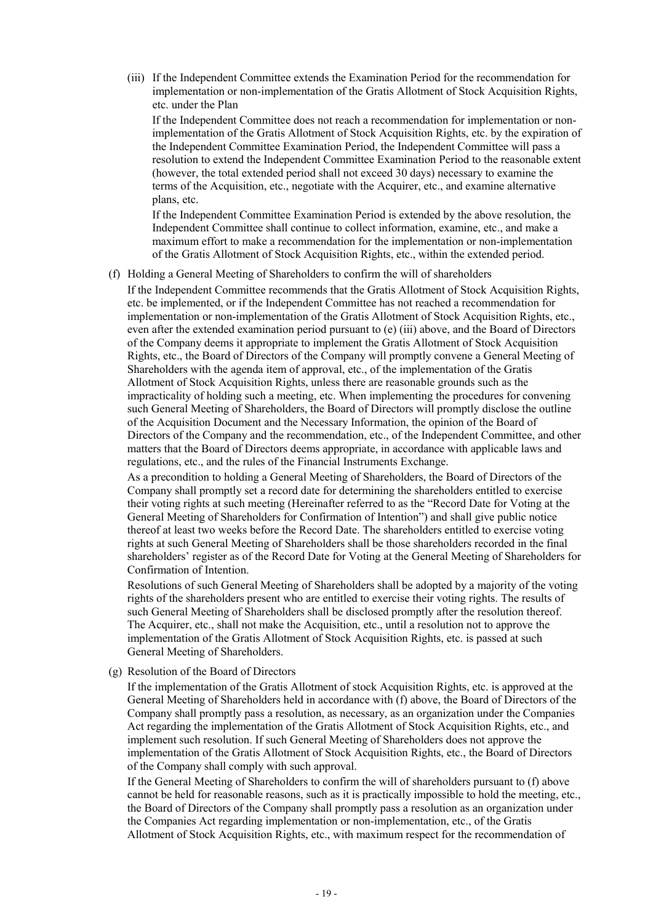(iii) If the Independent Committee extends the Examination Period for the recommendation for implementation or non-implementation of the Gratis Allotment of Stock Acquisition Rights, etc. under the Plan

If the Independent Committee does not reach a recommendation for implementation or nonimplementation of the Gratis Allotment of Stock Acquisition Rights, etc. by the expiration of the Independent Committee Examination Period, the Independent Committee will pass a resolution to extend the Independent Committee Examination Period to the reasonable extent (however, the total extended period shall not exceed 30 days) necessary to examine the terms of the Acquisition, etc., negotiate with the Acquirer, etc., and examine alternative plans, etc.

If the Independent Committee Examination Period is extended by the above resolution, the Independent Committee shall continue to collect information, examine, etc., and make a maximum effort to make a recommendation for the implementation or non-implementation of the Gratis Allotment of Stock Acquisition Rights, etc., within the extended period.

#### (f) Holding a General Meeting of Shareholders to confirm the will of shareholders

If the Independent Committee recommends that the Gratis Allotment of Stock Acquisition Rights, etc. be implemented, or if the Independent Committee has not reached a recommendation for implementation or non-implementation of the Gratis Allotment of Stock Acquisition Rights, etc., even after the extended examination period pursuant to (e) (iii) above, and the Board of Directors of the Company deems it appropriate to implement the Gratis Allotment of Stock Acquisition Rights, etc., the Board of Directors of the Company will promptly convene a General Meeting of Shareholders with the agenda item of approval, etc., of the implementation of the Gratis Allotment of Stock Acquisition Rights, unless there are reasonable grounds such as the impracticality of holding such a meeting, etc. When implementing the procedures for convening such General Meeting of Shareholders, the Board of Directors will promptly disclose the outline of the Acquisition Document and the Necessary Information, the opinion of the Board of Directors of the Company and the recommendation, etc., of the Independent Committee, and other matters that the Board of Directors deems appropriate, in accordance with applicable laws and regulations, etc., and the rules of the Financial Instruments Exchange.

As a precondition to holding a General Meeting of Shareholders, the Board of Directors of the Company shall promptly set a record date for determining the shareholders entitled to exercise their voting rights at such meeting (Hereinafter referred to as the "Record Date for Voting at the General Meeting of Shareholders for Confirmation of Intention") and shall give public notice thereof at least two weeks before the Record Date. The shareholders entitled to exercise voting rights at such General Meeting of Shareholders shall be those shareholders recorded in the final shareholders' register as of the Record Date for Voting at the General Meeting of Shareholders for Confirmation of Intention.

Resolutions of such General Meeting of Shareholders shall be adopted by a majority of the voting rights of the shareholders present who are entitled to exercise their voting rights. The results of such General Meeting of Shareholders shall be disclosed promptly after the resolution thereof. The Acquirer, etc., shall not make the Acquisition, etc., until a resolution not to approve the implementation of the Gratis Allotment of Stock Acquisition Rights, etc. is passed at such General Meeting of Shareholders.

(g) Resolution of the Board of Directors

If the implementation of the Gratis Allotment of stock Acquisition Rights, etc. is approved at the General Meeting of Shareholders held in accordance with (f) above, the Board of Directors of the Company shall promptly pass a resolution, as necessary, as an organization under the Companies Act regarding the implementation of the Gratis Allotment of Stock Acquisition Rights, etc., and implement such resolution. If such General Meeting of Shareholders does not approve the implementation of the Gratis Allotment of Stock Acquisition Rights, etc., the Board of Directors of the Company shall comply with such approval.

If the General Meeting of Shareholders to confirm the will of shareholders pursuant to (f) above cannot be held for reasonable reasons, such as it is practically impossible to hold the meeting, etc., the Board of Directors of the Company shall promptly pass a resolution as an organization under the Companies Act regarding implementation or non-implementation, etc., of the Gratis Allotment of Stock Acquisition Rights, etc., with maximum respect for the recommendation of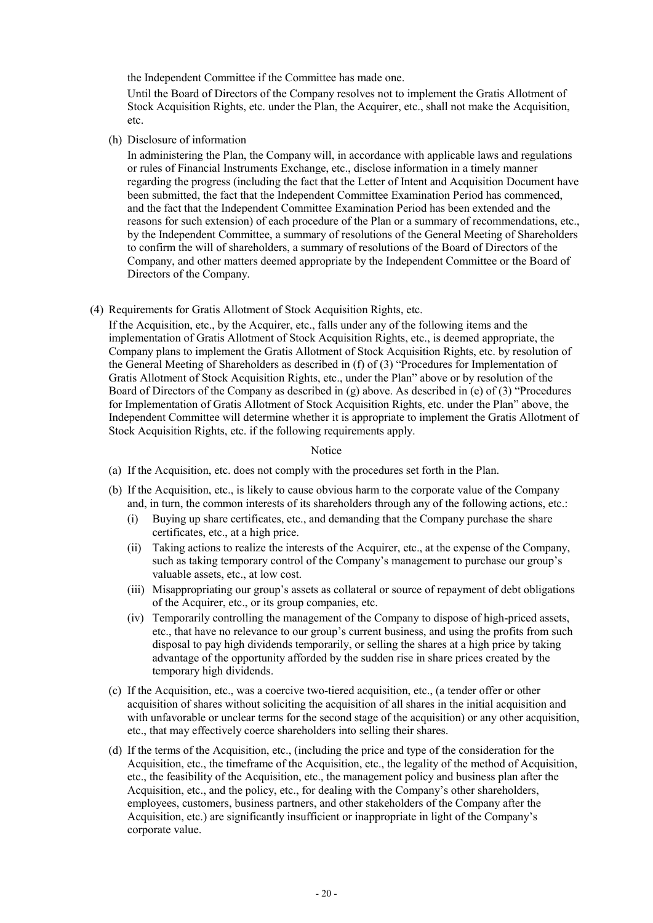the Independent Committee if the Committee has made one.

Until the Board of Directors of the Company resolves not to implement the Gratis Allotment of Stock Acquisition Rights, etc. under the Plan, the Acquirer, etc., shall not make the Acquisition, etc.

(h) Disclosure of information

In administering the Plan, the Company will, in accordance with applicable laws and regulations or rules of Financial Instruments Exchange, etc., disclose information in a timely manner regarding the progress (including the fact that the Letter of Intent and Acquisition Document have been submitted, the fact that the Independent Committee Examination Period has commenced, and the fact that the Independent Committee Examination Period has been extended and the reasons for such extension) of each procedure of the Plan or a summary of recommendations, etc., by the Independent Committee, a summary of resolutions of the General Meeting of Shareholders to confirm the will of shareholders, a summary of resolutions of the Board of Directors of the Company, and other matters deemed appropriate by the Independent Committee or the Board of Directors of the Company.

(4) Requirements for Gratis Allotment of Stock Acquisition Rights, etc.

If the Acquisition, etc., by the Acquirer, etc., falls under any of the following items and the implementation of Gratis Allotment of Stock Acquisition Rights, etc., is deemed appropriate, the Company plans to implement the Gratis Allotment of Stock Acquisition Rights, etc. by resolution of the General Meeting of Shareholders as described in (f) of (3) "Procedures for Implementation of Gratis Allotment of Stock Acquisition Rights, etc., under the Plan" above or by resolution of the Board of Directors of the Company as described in (g) above. As described in (e) of (3) "Procedures for Implementation of Gratis Allotment of Stock Acquisition Rights, etc. under the Plan" above, the Independent Committee will determine whether it is appropriate to implement the Gratis Allotment of Stock Acquisition Rights, etc. if the following requirements apply.

### Notice

- (a) If the Acquisition, etc. does not comply with the procedures set forth in the Plan.
- (b) If the Acquisition, etc., is likely to cause obvious harm to the corporate value of the Company and, in turn, the common interests of its shareholders through any of the following actions, etc.:
	- (i) Buying up share certificates, etc., and demanding that the Company purchase the share certificates, etc., at a high price.
	- (ii) Taking actions to realize the interests of the Acquirer, etc., at the expense of the Company, such as taking temporary control of the Company's management to purchase our group's valuable assets, etc., at low cost.
	- (iii) Misappropriating our group's assets as collateral or source of repayment of debt obligations of the Acquirer, etc., or its group companies, etc.
	- (iv) Temporarily controlling the management of the Company to dispose of high-priced assets, etc., that have no relevance to our group's current business, and using the profits from such disposal to pay high dividends temporarily, or selling the shares at a high price by taking advantage of the opportunity afforded by the sudden rise in share prices created by the temporary high dividends.
- (c) If the Acquisition, etc., was a coercive two-tiered acquisition, etc., (a tender offer or other acquisition of shares without soliciting the acquisition of all shares in the initial acquisition and with unfavorable or unclear terms for the second stage of the acquisition) or any other acquisition, etc., that may effectively coerce shareholders into selling their shares.
- (d) If the terms of the Acquisition, etc., (including the price and type of the consideration for the Acquisition, etc., the timeframe of the Acquisition, etc., the legality of the method of Acquisition, etc., the feasibility of the Acquisition, etc., the management policy and business plan after the Acquisition, etc., and the policy, etc., for dealing with the Company's other shareholders, employees, customers, business partners, and other stakeholders of the Company after the Acquisition, etc.) are significantly insufficient or inappropriate in light of the Company's corporate value.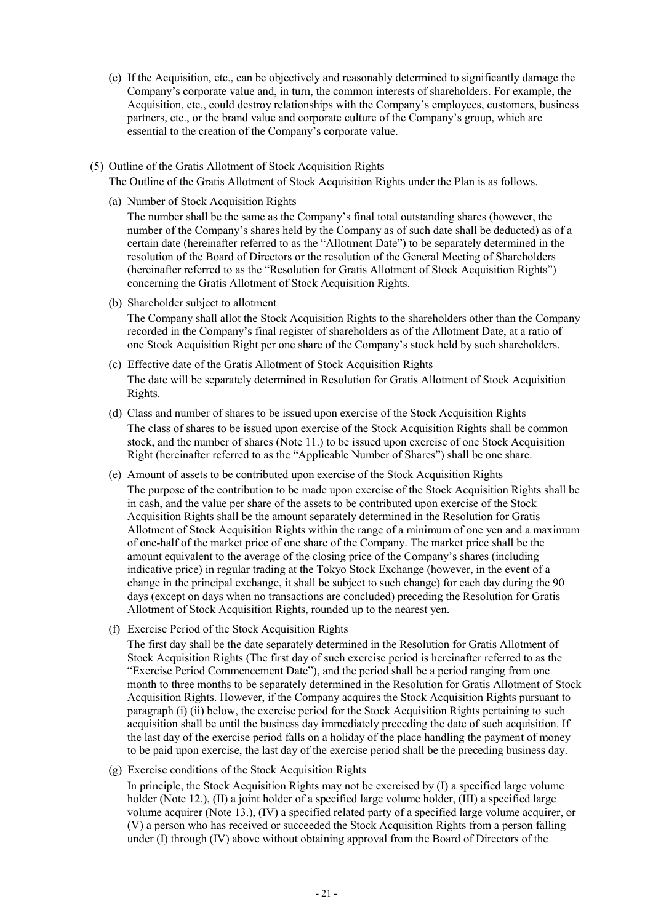- (e) If the Acquisition, etc., can be objectively and reasonably determined to significantly damage the Company's corporate value and, in turn, the common interests of shareholders. For example, the Acquisition, etc., could destroy relationships with the Company's employees, customers, business partners, etc., or the brand value and corporate culture of the Company's group, which are essential to the creation of the Company's corporate value.
- (5) Outline of the Gratis Allotment of Stock Acquisition Rights The Outline of the Gratis Allotment of Stock Acquisition Rights under the Plan is as follows.
	- (a) Number of Stock Acquisition Rights

The number shall be the same as the Company's final total outstanding shares (however, the number of the Company's shares held by the Company as of such date shall be deducted) as of a certain date (hereinafter referred to as the "Allotment Date") to be separately determined in the resolution of the Board of Directors or the resolution of the General Meeting of Shareholders (hereinafter referred to as the "Resolution for Gratis Allotment of Stock Acquisition Rights") concerning the Gratis Allotment of Stock Acquisition Rights.

(b) Shareholder subject to allotment

The Company shall allot the Stock Acquisition Rights to the shareholders other than the Company recorded in the Company's final register of shareholders as of the Allotment Date, at a ratio of one Stock Acquisition Right per one share of the Company's stock held by such shareholders.

- (c) Effective date of the Gratis Allotment of Stock Acquisition Rights The date will be separately determined in Resolution for Gratis Allotment of Stock Acquisition Rights.
- (d) Class and number of shares to be issued upon exercise of the Stock Acquisition Rights The class of shares to be issued upon exercise of the Stock Acquisition Rights shall be common stock, and the number of shares (Note 11.) to be issued upon exercise of one Stock Acquisition Right (hereinafter referred to as the "Applicable Number of Shares") shall be one share.
- (e) Amount of assets to be contributed upon exercise of the Stock Acquisition Rights The purpose of the contribution to be made upon exercise of the Stock Acquisition Rights shall be in cash, and the value per share of the assets to be contributed upon exercise of the Stock Acquisition Rights shall be the amount separately determined in the Resolution for Gratis Allotment of Stock Acquisition Rights within the range of a minimum of one yen and a maximum of one-half of the market price of one share of the Company. The market price shall be the amount equivalent to the average of the closing price of the Company's shares (including indicative price) in regular trading at the Tokyo Stock Exchange (however, in the event of a change in the principal exchange, it shall be subject to such change) for each day during the 90 days (except on days when no transactions are concluded) preceding the Resolution for Gratis Allotment of Stock Acquisition Rights, rounded up to the nearest yen.
- (f) Exercise Period of the Stock Acquisition Rights

The first day shall be the date separately determined in the Resolution for Gratis Allotment of Stock Acquisition Rights (The first day of such exercise period is hereinafter referred to as the "Exercise Period Commencement Date"), and the period shall be a period ranging from one month to three months to be separately determined in the Resolution for Gratis Allotment of Stock Acquisition Rights. However, if the Company acquires the Stock Acquisition Rights pursuant to paragraph (i) (ii) below, the exercise period for the Stock Acquisition Rights pertaining to such acquisition shall be until the business day immediately preceding the date of such acquisition. If the last day of the exercise period falls on a holiday of the place handling the payment of money to be paid upon exercise, the last day of the exercise period shall be the preceding business day.

(g) Exercise conditions of the Stock Acquisition Rights

In principle, the Stock Acquisition Rights may not be exercised by (I) a specified large volume holder (Note 12.), (II) a joint holder of a specified large volume holder, (III) a specified large volume acquirer (Note 13.), (IV) a specified related party of a specified large volume acquirer, or (V) a person who has received or succeeded the Stock Acquisition Rights from a person falling under (I) through (IV) above without obtaining approval from the Board of Directors of the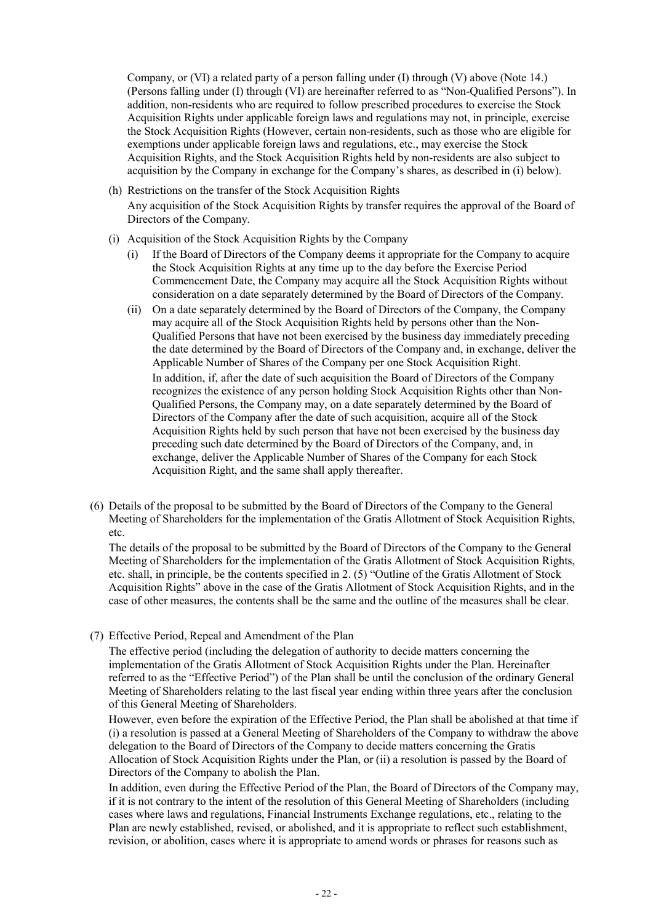Company, or (VI) a related party of a person falling under (I) through (V) above (Note 14.) (Persons falling under (I) through (VI) are hereinafter referred to as "Non-Qualified Persons"). In addition, non-residents who are required to follow prescribed procedures to exercise the Stock Acquisition Rights under applicable foreign laws and regulations may not, in principle, exercise the Stock Acquisition Rights (However, certain non-residents, such as those who are eligible for exemptions under applicable foreign laws and regulations, etc., may exercise the Stock Acquisition Rights, and the Stock Acquisition Rights held by non-residents are also subject to acquisition by the Company in exchange for the Company's shares, as described in (i) below).

- (h) Restrictions on the transfer of the Stock Acquisition Rights Any acquisition of the Stock Acquisition Rights by transfer requires the approval of the Board of Directors of the Company.
- (i) Acquisition of the Stock Acquisition Rights by the Company
	- (i) If the Board of Directors of the Company deems it appropriate for the Company to acquire the Stock Acquisition Rights at any time up to the day before the Exercise Period Commencement Date, the Company may acquire all the Stock Acquisition Rights without consideration on a date separately determined by the Board of Directors of the Company.
	- (ii) On a date separately determined by the Board of Directors of the Company, the Company may acquire all of the Stock Acquisition Rights held by persons other than the Non-Qualified Persons that have not been exercised by the business day immediately preceding the date determined by the Board of Directors of the Company and, in exchange, deliver the Applicable Number of Shares of the Company per one Stock Acquisition Right. In addition, if, after the date of such acquisition the Board of Directors of the Company recognizes the existence of any person holding Stock Acquisition Rights other than Non-Qualified Persons, the Company may, on a date separately determined by the Board of Directors of the Company after the date of such acquisition, acquire all of the Stock Acquisition Rights held by such person that have not been exercised by the business day preceding such date determined by the Board of Directors of the Company, and, in exchange, deliver the Applicable Number of Shares of the Company for each Stock Acquisition Right, and the same shall apply thereafter.
- (6) Details of the proposal to be submitted by the Board of Directors of the Company to the General Meeting of Shareholders for the implementation of the Gratis Allotment of Stock Acquisition Rights, etc.

The details of the proposal to be submitted by the Board of Directors of the Company to the General Meeting of Shareholders for the implementation of the Gratis Allotment of Stock Acquisition Rights, etc. shall, in principle, be the contents specified in 2. (5) "Outline of the Gratis Allotment of Stock Acquisition Rights" above in the case of the Gratis Allotment of Stock Acquisition Rights, and in the case of other measures, the contents shall be the same and the outline of the measures shall be clear.

(7) Effective Period, Repeal and Amendment of the Plan

The effective period (including the delegation of authority to decide matters concerning the implementation of the Gratis Allotment of Stock Acquisition Rights under the Plan. Hereinafter referred to as the "Effective Period") of the Plan shall be until the conclusion of the ordinary General Meeting of Shareholders relating to the last fiscal year ending within three years after the conclusion of this General Meeting of Shareholders.

However, even before the expiration of the Effective Period, the Plan shall be abolished at that time if (i) a resolution is passed at a General Meeting of Shareholders of the Company to withdraw the above delegation to the Board of Directors of the Company to decide matters concerning the Gratis Allocation of Stock Acquisition Rights under the Plan, or (ii) a resolution is passed by the Board of Directors of the Company to abolish the Plan.

In addition, even during the Effective Period of the Plan, the Board of Directors of the Company may, if it is not contrary to the intent of the resolution of this General Meeting of Shareholders (including cases where laws and regulations, Financial Instruments Exchange regulations, etc., relating to the Plan are newly established, revised, or abolished, and it is appropriate to reflect such establishment, revision, or abolition, cases where it is appropriate to amend words or phrases for reasons such as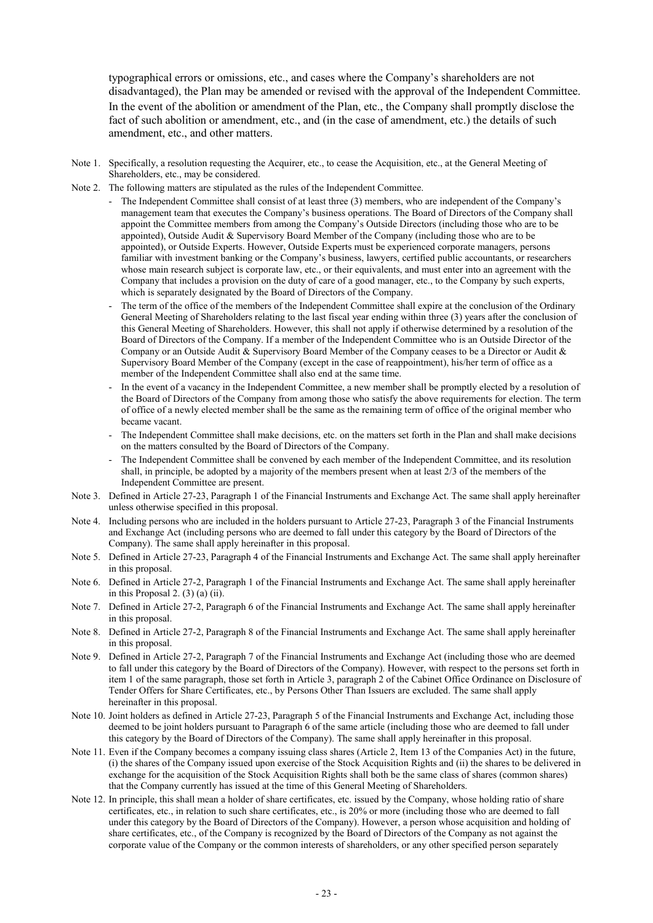typographical errors or omissions, etc., and cases where the Company's shareholders are not disadvantaged), the Plan may be amended or revised with the approval of the Independent Committee. In the event of the abolition or amendment of the Plan, etc., the Company shall promptly disclose the fact of such abolition or amendment, etc., and (in the case of amendment, etc.) the details of such amendment, etc., and other matters.

- Note 1. Specifically, a resolution requesting the Acquirer, etc., to cease the Acquisition, etc., at the General Meeting of Shareholders, etc., may be considered.
- Note 2. The following matters are stipulated as the rules of the Independent Committee.
	- The Independent Committee shall consist of at least three (3) members, who are independent of the Company's management team that executes the Company's business operations. The Board of Directors of the Company shall appoint the Committee members from among the Company's Outside Directors (including those who are to be appointed), Outside Audit & Supervisory Board Member of the Company (including those who are to be appointed), or Outside Experts. However, Outside Experts must be experienced corporate managers, persons familiar with investment banking or the Company's business, lawyers, certified public accountants, or researchers whose main research subject is corporate law, etc., or their equivalents, and must enter into an agreement with the Company that includes a provision on the duty of care of a good manager, etc., to the Company by such experts, which is separately designated by the Board of Directors of the Company.
		- The term of the office of the members of the Independent Committee shall expire at the conclusion of the Ordinary General Meeting of Shareholders relating to the last fiscal year ending within three (3) years after the conclusion of this General Meeting of Shareholders. However, this shall not apply if otherwise determined by a resolution of the Board of Directors of the Company. If a member of the Independent Committee who is an Outside Director of the Company or an Outside Audit & Supervisory Board Member of the Company ceases to be a Director or Audit & Supervisory Board Member of the Company (except in the case of reappointment), his/her term of office as a member of the Independent Committee shall also end at the same time.
		- In the event of a vacancy in the Independent Committee, a new member shall be promptly elected by a resolution of the Board of Directors of the Company from among those who satisfy the above requirements for election. The term of office of a newly elected member shall be the same as the remaining term of office of the original member who became vacant.
		- The Independent Committee shall make decisions, etc. on the matters set forth in the Plan and shall make decisions on the matters consulted by the Board of Directors of the Company.
		- The Independent Committee shall be convened by each member of the Independent Committee, and its resolution shall, in principle, be adopted by a majority of the members present when at least 2/3 of the members of the Independent Committee are present.
- Note 3. Defined in Article 27-23, Paragraph 1 of the Financial Instruments and Exchange Act. The same shall apply hereinafter unless otherwise specified in this proposal.
- Note 4. Including persons who are included in the holders pursuant to Article 27-23, Paragraph 3 of the Financial Instruments and Exchange Act (including persons who are deemed to fall under this category by the Board of Directors of the Company). The same shall apply hereinafter in this proposal.
- Note 5. Defined in Article 27-23, Paragraph 4 of the Financial Instruments and Exchange Act. The same shall apply hereinafter in this proposal.
- Note 6. Defined in Article 27-2, Paragraph 1 of the Financial Instruments and Exchange Act. The same shall apply hereinafter in this Proposal 2. (3) (a) (ii).
- Note 7. Defined in Article 27-2, Paragraph 6 of the Financial Instruments and Exchange Act. The same shall apply hereinafter in this proposal.
- Note 8. Defined in Article 27-2, Paragraph 8 of the Financial Instruments and Exchange Act. The same shall apply hereinafter in this proposal.
- Note 9. Defined in Article 27-2, Paragraph 7 of the Financial Instruments and Exchange Act (including those who are deemed to fall under this category by the Board of Directors of the Company). However, with respect to the persons set forth in item 1 of the same paragraph, those set forth in Article 3, paragraph 2 of the Cabinet Office Ordinance on Disclosure of Tender Offers for Share Certificates, etc., by Persons Other Than Issuers are excluded. The same shall apply hereinafter in this proposal.
- Note 10. Joint holders as defined in Article 27-23, Paragraph 5 of the Financial Instruments and Exchange Act, including those deemed to be joint holders pursuant to Paragraph 6 of the same article (including those who are deemed to fall under this category by the Board of Directors of the Company). The same shall apply hereinafter in this proposal.
- Note 11. Even if the Company becomes a company issuing class shares (Article 2, Item 13 of the Companies Act) in the future, (i) the shares of the Company issued upon exercise of the Stock Acquisition Rights and (ii) the shares to be delivered in exchange for the acquisition of the Stock Acquisition Rights shall both be the same class of shares (common shares) that the Company currently has issued at the time of this General Meeting of Shareholders.
- Note 12. In principle, this shall mean a holder of share certificates, etc. issued by the Company, whose holding ratio of share certificates, etc., in relation to such share certificates, etc., is 20% or more (including those who are deemed to fall under this category by the Board of Directors of the Company). However, a person whose acquisition and holding of share certificates, etc., of the Company is recognized by the Board of Directors of the Company as not against the corporate value of the Company or the common interests of shareholders, or any other specified person separately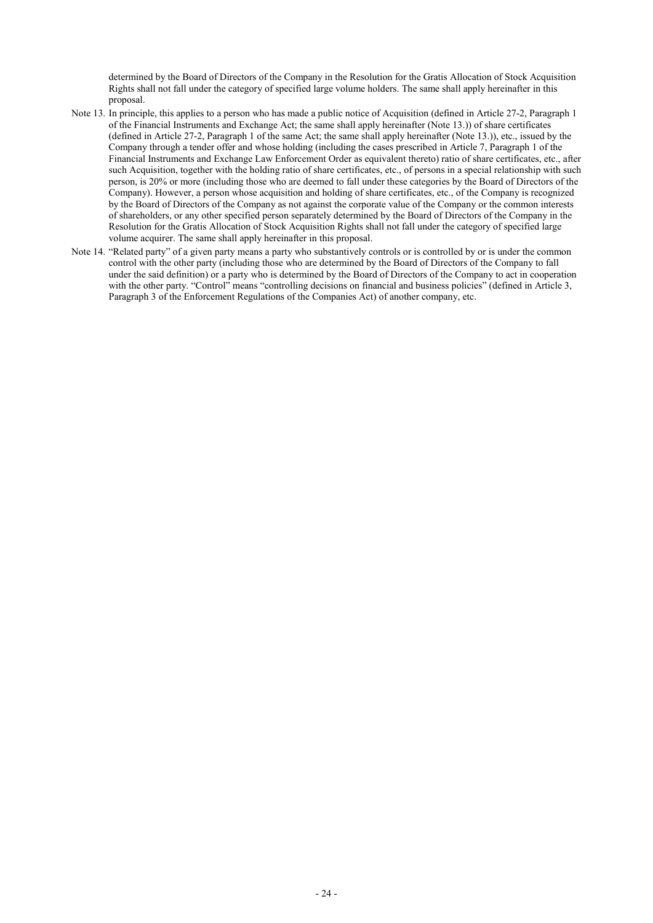determined by the Board of Directors of the Company in the Resolution for the Gratis Allocation of Stock Acquisition Rights shall not fall under the category of specified large volume holders. The same shall apply hereinafter in this proposal.

- Note 13. In principle, this applies to a person who has made a public notice of Acquisition (defined in Article 27-2, Paragraph 1 of the Financial Instruments and Exchange Act; the same shall apply hereinafter (Note 13.)) of share certificates (defined in Article 27-2, Paragraph 1 of the same Act; the same shall apply hereinafter (Note 13.)), etc., issued by the Company through a tender offer and whose holding (including the cases prescribed in Article 7, Paragraph 1 of the Financial Instruments and Exchange Law Enforcement Order as equivalent thereto) ratio of share certificates, etc., after such Acquisition, together with the holding ratio of share certificates, etc., of persons in a special relationship with such person, is 20% or more (including those who are deemed to fall under these categories by the Board of Directors of the Company). However, a person whose acquisition and holding of share certificates, etc., of the Company is recognized by the Board of Directors of the Company as not against the corporate value of the Company or the common interests of shareholders, or any other specified person separately determined by the Board of Directors of the Company in the Resolution for the Gratis Allocation of Stock Acquisition Rights shall not fall under the category of specified large volume acquirer. The same shall apply hereinafter in this proposal.
- Note 14. "Related party" of a given party means a party who substantively controls or is controlled by or is under the common control with the other party (including those who are determined by the Board of Directors of the Company to fall under the said definition) or a party who is determined by the Board of Directors of the Company to act in cooperation with the other party. "Control" means "controlling decisions on financial and business policies" (defined in Article 3, Paragraph 3 of the Enforcement Regulations of the Companies Act) of another company, etc.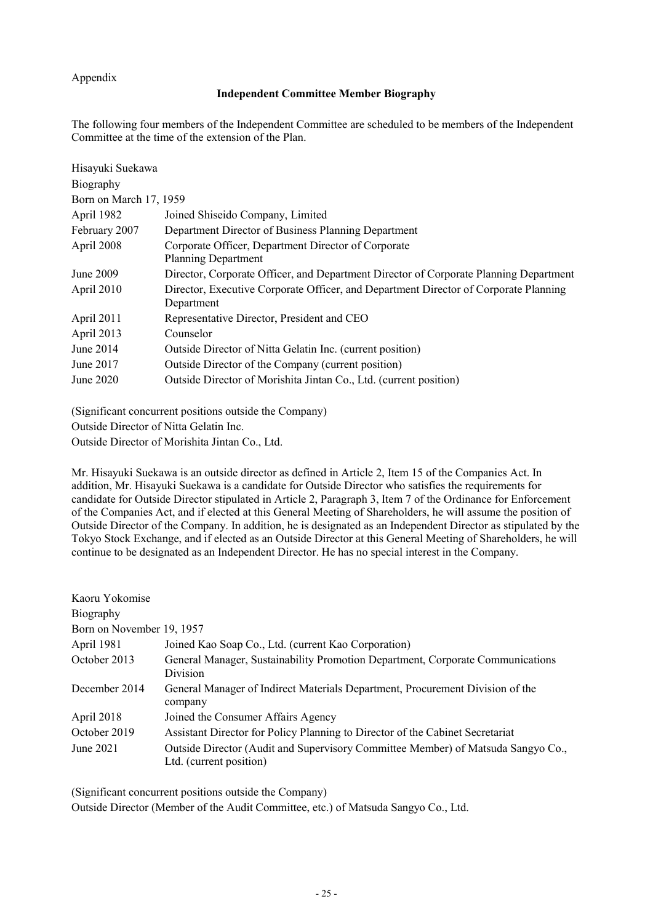# Appendix

# **Independent Committee Member Biography**

The following four members of the Independent Committee are scheduled to be members of the Independent Committee at the time of the extension of the Plan.

| Hisayuki Suekawa       |                                                                                                    |
|------------------------|----------------------------------------------------------------------------------------------------|
| Biography              |                                                                                                    |
| Born on March 17, 1959 |                                                                                                    |
| April 1982             | Joined Shiseido Company, Limited                                                                   |
| February 2007          | Department Director of Business Planning Department                                                |
| April 2008             | Corporate Officer, Department Director of Corporate<br><b>Planning Department</b>                  |
| June 2009              | Director, Corporate Officer, and Department Director of Corporate Planning Department              |
| April 2010             | Director, Executive Corporate Officer, and Department Director of Corporate Planning<br>Department |
| April 2011             | Representative Director, President and CEO                                                         |
| April 2013             | Counselor                                                                                          |
| June 2014              | Outside Director of Nitta Gelatin Inc. (current position)                                          |
| June 2017              | Outside Director of the Company (current position)                                                 |
| June 2020              | Outside Director of Morishita Jintan Co., Ltd. (current position)                                  |

(Significant concurrent positions outside the Company)

Outside Director of Nitta Gelatin Inc.

Outside Director of Morishita Jintan Co., Ltd.

Mr. Hisayuki Suekawa is an outside director as defined in Article 2, Item 15 of the Companies Act. In addition, Mr. Hisayuki Suekawa is a candidate for Outside Director who satisfies the requirements for candidate for Outside Director stipulated in Article 2, Paragraph 3, Item 7 of the Ordinance for Enforcement of the Companies Act, and if elected at this General Meeting of Shareholders, he will assume the position of Outside Director of the Company. In addition, he is designated as an Independent Director as stipulated by the Tokyo Stock Exchange, and if elected as an Outside Director at this General Meeting of Shareholders, he will continue to be designated as an Independent Director. He has no special interest in the Company.

| Kaoru Yokomise            |                                                                                                             |
|---------------------------|-------------------------------------------------------------------------------------------------------------|
| Biography                 |                                                                                                             |
| Born on November 19, 1957 |                                                                                                             |
| April 1981                | Joined Kao Soap Co., Ltd. (current Kao Corporation)                                                         |
| October 2013              | General Manager, Sustainability Promotion Department, Corporate Communications<br><b>Division</b>           |
| December 2014             | General Manager of Indirect Materials Department, Procurement Division of the<br>company                    |
| April 2018                | Joined the Consumer Affairs Agency                                                                          |
| October 2019              | Assistant Director for Policy Planning to Director of the Cabinet Secretariat                               |
| June 2021                 | Outside Director (Audit and Supervisory Committee Member) of Matsuda Sangyo Co.,<br>Ltd. (current position) |

(Significant concurrent positions outside the Company)

Outside Director (Member of the Audit Committee, etc.) of Matsuda Sangyo Co., Ltd.